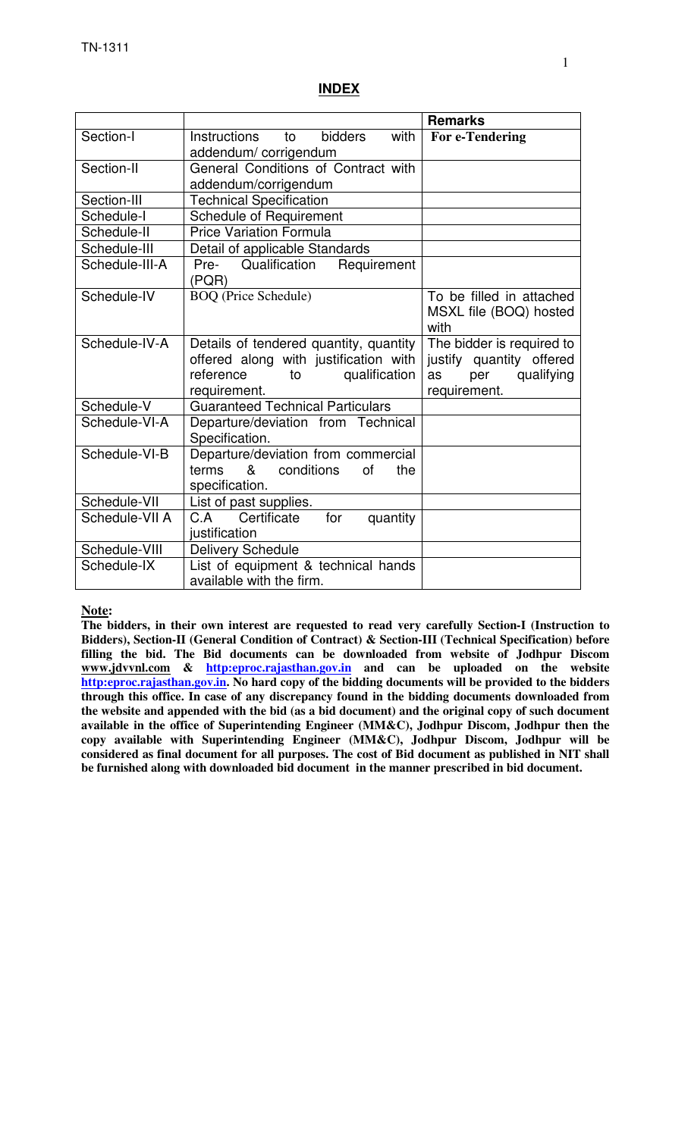#### **INDEX**

|                |                                              | <b>Remarks</b>            |
|----------------|----------------------------------------------|---------------------------|
| Section-I      | <b>bidders</b><br>with<br>Instructions<br>to | For e-Tendering           |
|                | addendum/corrigendum                         |                           |
| Section-II     | General Conditions of Contract with          |                           |
|                | addendum/corrigendum                         |                           |
| Section-III    | <b>Technical Specification</b>               |                           |
| Schedule-I     | <b>Schedule of Requirement</b>               |                           |
| Schedule-II    | <b>Price Variation Formula</b>               |                           |
| Schedule-III   | Detail of applicable Standards               |                           |
| Schedule-III-A | Pre- Qualification<br>Requirement            |                           |
|                | (PQR)                                        |                           |
| Schedule-IV    | <b>BOQ</b> (Price Schedule)                  | To be filled in attached  |
|                |                                              | MSXL file (BOQ) hosted    |
|                |                                              | with                      |
| Schedule-IV-A  | Details of tendered quantity, quantity       | The bidder is required to |
|                | offered along with justification with        | justify quantity offered  |
|                | reference<br>qualification<br>to             | qualifying<br>per<br>as   |
|                | requirement.                                 | requirement.              |
| Schedule-V     | <b>Guaranteed Technical Particulars</b>      |                           |
| Schedule-VI-A  | Departure/deviation from Technical           |                           |
|                | Specification.                               |                           |
| Schedule-VI-B  | Departure/deviation from commercial          |                           |
|                | &<br>conditions<br>terms<br>οf<br>the        |                           |
|                | specification.                               |                           |
| Schedule-VII   | List of past supplies.                       |                           |
| Schedule-VII A | for<br>C.A Certificate<br>quantity           |                           |
|                | justification                                |                           |
| Schedule-VIII  | <b>Delivery Schedule</b>                     |                           |
| Schedule-IX    | List of equipment & technical hands          |                           |
|                | available with the firm.                     |                           |

#### **Note:**

**The bidders, in their own interest are requested to read very carefully Section-I (Instruction to Bidders), Section-II (General Condition of Contract) & Section-III (Technical Specification) before filling the bid. The Bid documents can be downloaded from website of Jodhpur Discom www.jdvvnl.com & http:eproc.rajasthan.gov.in and can be uploaded on the website http:eproc.rajasthan.gov.in. No hard copy of the bidding documents will be provided to the bidders through this office. In case of any discrepancy found in the bidding documents downloaded from the website and appended with the bid (as a bid document) and the original copy of such document available in the office of Superintending Engineer (MM&C), Jodhpur Discom, Jodhpur then the copy available with Superintending Engineer (MM&C), Jodhpur Discom, Jodhpur will be considered as final document for all purposes. The cost of Bid document as published in NIT shall be furnished along with downloaded bid document in the manner prescribed in bid document.**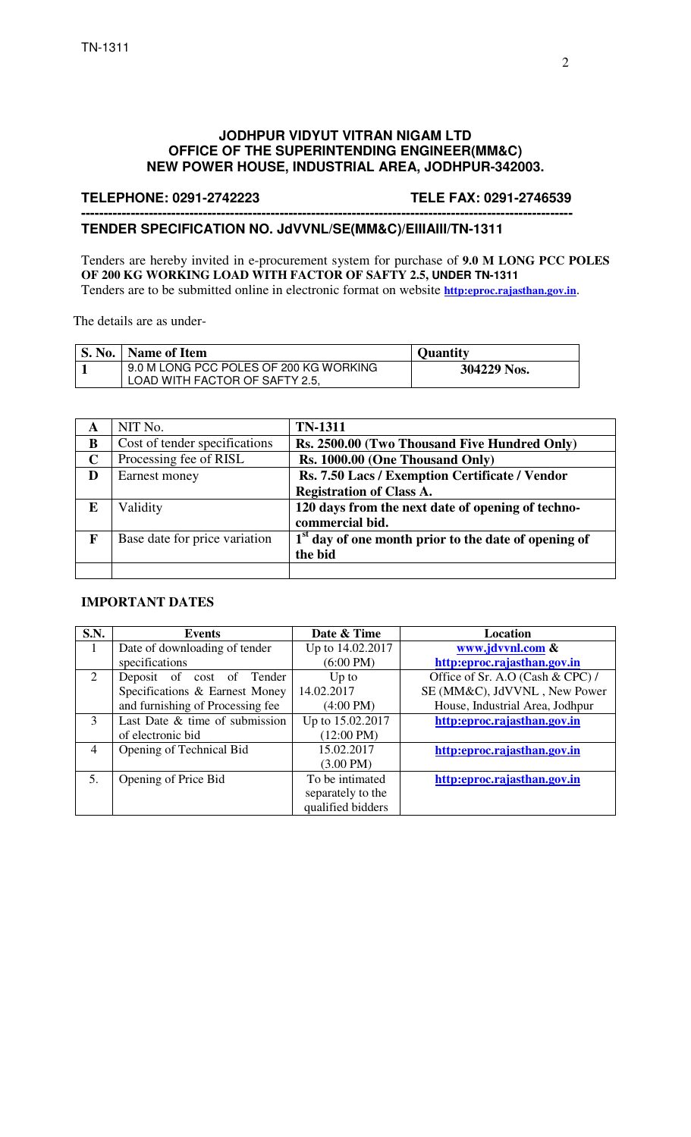#### **JODHPUR VIDYUT VITRAN NIGAM LTD OFFICE OF THE SUPERINTENDING ENGINEER(MM&C) NEW POWER HOUSE, INDUSTRIAL AREA, JODHPUR-342003.**

#### **TELEPHONE: 0291-2742223 TELE FAX: 0291-2746539**

#### **------------------------------------------------------------------------------------------------------------- TENDER SPECIFICATION NO. JdVVNL/SE(MM&C)/EIIIAIII/TN-1311**

Tenders are hereby invited in e-procurement system for purchase of **9.0 M LONG PCC POLES OF 200 KG WORKING LOAD WITH FACTOR OF SAFTY 2.5, UNDER TN-1311**  Tenders are to be submitted online in electronic format on website **http:eproc.rajasthan.gov.in**.

The details are as under-

| <b>S. No.</b> | Name of Item                                                             | <b>Ouantity</b> |
|---------------|--------------------------------------------------------------------------|-----------------|
|               | 9.0 M LONG PCC POLES OF 200 KG WORKING<br>LOAD WITH FACTOR OF SAFTY 2.5, | 304229 Nos.     |

| A           | NIT No.                       | <b>TN-1311</b>                                         |
|-------------|-------------------------------|--------------------------------------------------------|
| B           | Cost of tender specifications | Rs. 2500.00 (Two Thousand Five Hundred Only)           |
| $\mathbf C$ | Processing fee of RISL        | Rs. 1000.00 (One Thousand Only)                        |
| D           | Earnest money                 | Rs. 7.50 Lacs / Exemption Certificate / Vendor         |
|             |                               | <b>Registration of Class A.</b>                        |
| E           | Validity                      | 120 days from the next date of opening of techno-      |
|             |                               | commercial bid.                                        |
| $\mathbf F$ | Base date for price variation | $1st$ day of one month prior to the date of opening of |
|             |                               | the bid                                                |
|             |                               |                                                        |

#### **IMPORTANT DATES**

| <b>S.N.</b> | <b>Events</b>                    | Date & Time          | <b>Location</b>                  |
|-------------|----------------------------------|----------------------|----------------------------------|
|             | Date of downloading of tender    | Up to 14.02.2017     | www.jdvvnl.com &                 |
|             | specifications                   | $(6:00 \text{ PM})$  | http:eproc.rajasthan.gov.in      |
| 2           | Deposit of cost of Tender        | Up to                | Office of Sr. A.O (Cash & CPC) / |
|             | Specifications & Earnest Money   | 14.02.2017           | SE (MM&C), JdVVNL, New Power     |
|             | and furnishing of Processing fee | $(4:00 \text{ PM})$  | House, Industrial Area, Jodhpur  |
| 3           | Last Date & time of submission   | Up to 15.02.2017     | http:eproc.rajasthan.gov.in      |
|             | of electronic bid                | $(12:00 \text{ PM})$ |                                  |
| 4           | Opening of Technical Bid         | 15.02.2017           | http:eproc.rajasthan.gov.in      |
|             |                                  | $(3.00 \text{ PM})$  |                                  |
| .5.         | Opening of Price Bid             | To be intimated      | http:eproc.rajasthan.gov.in      |
|             |                                  | separately to the    |                                  |
|             |                                  | qualified bidders    |                                  |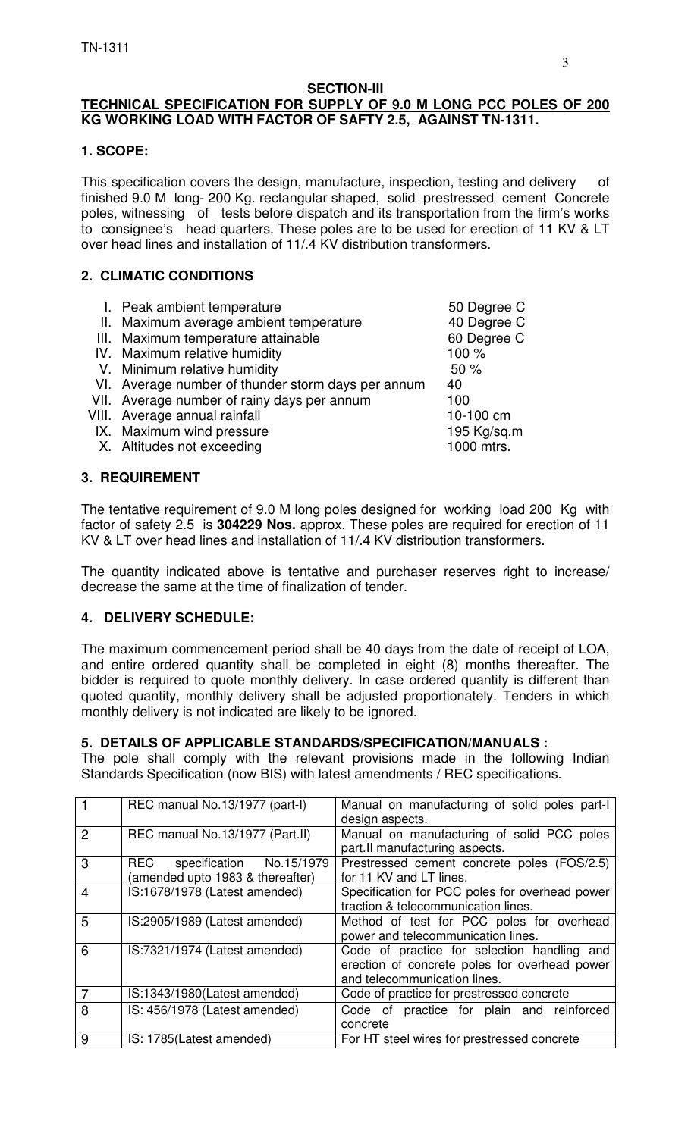#### **SECTION-III TECHNICAL SPECIFICATION FOR SUPPLY OF 9.0 M LONG PCC POLES OF 200 KG WORKING LOAD WITH FACTOR OF SAFTY 2.5, AGAINST TN-1311.**

#### **1. SCOPE:**

This specification covers the design, manufacture, inspection, testing and delivery of finished 9.0 M long- 200 Kg. rectangular shaped, solid prestressed cement Concrete poles, witnessing of tests before dispatch and its transportation from the firm's works to consignee's head quarters. These poles are to be used for erection of 11 KV & LT over head lines and installation of 11/.4 KV distribution transformers.

## **2. CLIMATIC CONDITIONS**

| I. Peak ambient temperature                        | 50 Degree C |
|----------------------------------------------------|-------------|
| II. Maximum average ambient temperature            | 40 Degree C |
| III. Maximum temperature attainable                | 60 Degree C |
| IV. Maximum relative humidity                      | 100 %       |
| V. Minimum relative humidity                       | 50%         |
| VI. Average number of thunder storm days per annum | 40          |
| VII. Average number of rainy days per annum        | 100         |
| VIII. Average annual rainfall                      | 10-100 cm   |
| IX. Maximum wind pressure                          | 195 Kg/sq.m |
| X. Altitudes not exceeding                         | 1000 mtrs.  |
|                                                    |             |
| <b>3. REQUIREMENT</b>                              |             |

The tentative requirement of 9.0 M long poles designed for working load 200 Kg with factor of safety 2.5 is **304229 Nos.** approx. These poles are required for erection of 11 KV & LT over head lines and installation of 11/.4 KV distribution transformers.

The quantity indicated above is tentative and purchaser reserves right to increase/ decrease the same at the time of finalization of tender.

#### **4. DELIVERY SCHEDULE:**

The maximum commencement period shall be 40 days from the date of receipt of LOA, and entire ordered quantity shall be completed in eight (8) months thereafter. The bidder is required to quote monthly delivery. In case ordered quantity is different than quoted quantity, monthly delivery shall be adjusted proportionately. Tenders in which monthly delivery is not indicated are likely to be ignored.

#### **5. DETAILS OF APPLICABLE STANDARDS/SPECIFICATION/MANUALS :**

The pole shall comply with the relevant provisions made in the following Indian Standards Specification (now BIS) with latest amendments / REC specifications.

|                | REC manual No.13/1977 (part-I)                                   | Manual on manufacturing of solid poles part-I<br>design aspects.                                                             |  |  |
|----------------|------------------------------------------------------------------|------------------------------------------------------------------------------------------------------------------------------|--|--|
| $\overline{2}$ | REC manual No.13/1977 (Part.II)                                  | Manual on manufacturing of solid PCC poles<br>part.II manufacturing aspects.                                                 |  |  |
| 3              | REC specification No.15/1979<br>(amended upto 1983 & thereafter) | Prestressed cement concrete poles (FOS/2.5)<br>for 11 KV and LT lines.                                                       |  |  |
| $\overline{4}$ | IS:1678/1978 (Latest amended)                                    | Specification for PCC poles for overhead power<br>traction & telecommunication lines.                                        |  |  |
| 5              | IS:2905/1989 (Latest amended)                                    | Method of test for PCC poles for overhead<br>power and telecommunication lines.                                              |  |  |
| 6              | IS:7321/1974 (Latest amended)                                    | Code of practice for selection handling and<br>erection of concrete poles for overhead power<br>and telecommunication lines. |  |  |
| 7              | IS:1343/1980(Latest amended)                                     | Code of practice for prestressed concrete                                                                                    |  |  |
| 8              | IS: 456/1978 (Latest amended)                                    | Code of practice for plain and reinforced<br>concrete                                                                        |  |  |
| 9              | IS: 1785(Latest amended)                                         | For HT steel wires for prestressed concrete                                                                                  |  |  |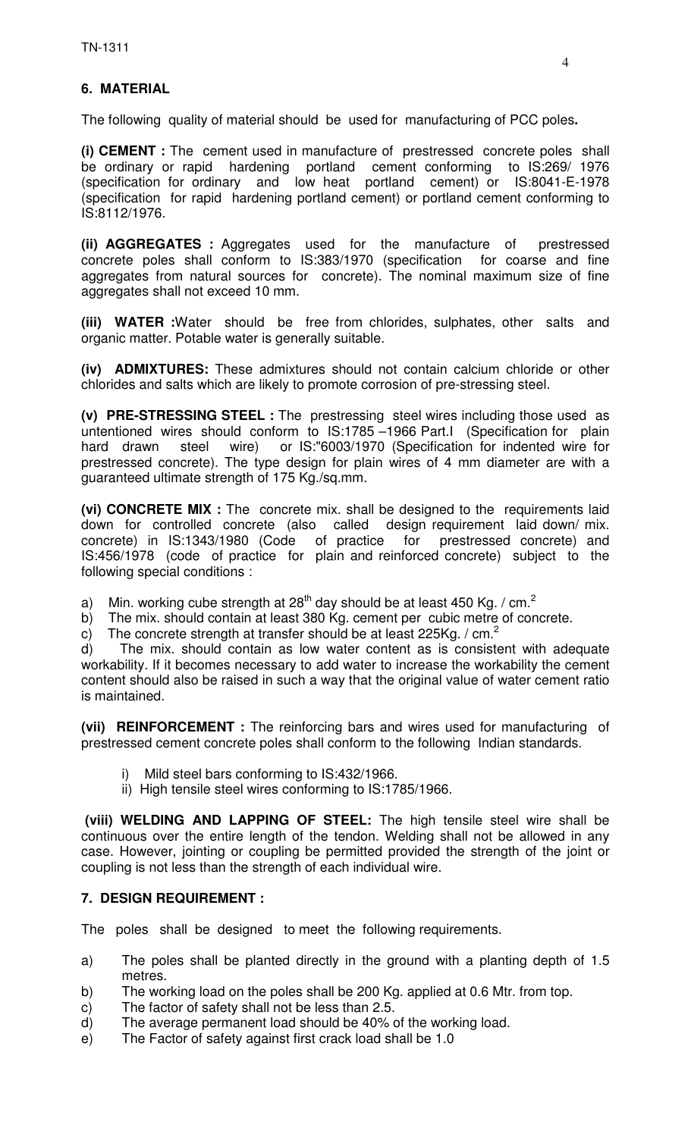# **6. MATERIAL**

The following quality of material should be used for manufacturing of PCC poles**.** 

**(i) CEMENT :** The cement used in manufacture of prestressed concrete poles shall be ordinary or rapid hardening portland cement conforming to IS:269/ 1976 (specification for ordinary and low heat portland cement) or IS:8041-E-1978 (specification for rapid hardening portland cement) or portland cement conforming to IS:8112/1976.

**(ii) AGGREGATES :** Aggregates used for the manufacture of prestressed concrete poles shall conform to IS:383/1970 (specification for coarse and fine aggregates from natural sources for concrete). The nominal maximum size of fine aggregates shall not exceed 10 mm.

**(iii) WATER :**Water should be free from chlorides, sulphates, other salts and organic matter. Potable water is generally suitable.

**(iv) ADMIXTURES:** These admixtures should not contain calcium chloride or other chlorides and salts which are likely to promote corrosion of pre-stressing steel.

**(v) PRE-STRESSING STEEL :** The prestressing steel wires including those used as untentioned wires should conform to IS:1785 –1966 Part.I (Specification for plain hard drawn steel wire) or IS:"6003/1970 (Specification for indented wire for prestressed concrete). The type design for plain wires of 4 mm diameter are with a guaranteed ultimate strength of 175 Kg./sq.mm.

**(vi) CONCRETE MIX :** The concrete mix. shall be designed to the requirements laid down for controlled concrete (also called design requirement laid down/ mix. concrete) in IS:1343/1980 (Code of practice for prestressed concrete) and IS:456/1978 (code of practice for plain and reinforced concrete) subject to the following special conditions :

a) Min. working cube strength at 28<sup>th</sup> day should be at least 450 Kg. / cm.<sup>2</sup>

b) The mix. should contain at least 380 Kg. cement per cubic metre of concrete.

c) The concrete strength at transfer should be at least 225Kg. /  $cm<sup>2</sup>$ 

d) The mix. should contain as low water content as is consistent with adequate workability. If it becomes necessary to add water to increase the workability the cement content should also be raised in such a way that the original value of water cement ratio is maintained.

**(vii) REINFORCEMENT :** The reinforcing bars and wires used for manufacturing of prestressed cement concrete poles shall conform to the following Indian standards.

- i) Mild steel bars conforming to IS:432/1966.
- ii) High tensile steel wires conforming to IS:1785/1966.

 **(viii) WELDING AND LAPPING OF STEEL:** The high tensile steel wire shall be continuous over the entire length of the tendon. Welding shall not be allowed in any case. However, jointing or coupling be permitted provided the strength of the joint or coupling is not less than the strength of each individual wire.

#### **7. DESIGN REQUIREMENT :**

The poles shall be designed to meet the following requirements.

- a) The poles shall be planted directly in the ground with a planting depth of 1.5 metres.
- b) The working load on the poles shall be 200 Kg. applied at 0.6 Mtr. from top.
- c) The factor of safety shall not be less than 2.5.
- d) The average permanent load should be 40% of the working load.
- e) The Factor of safety against first crack load shall be 1.0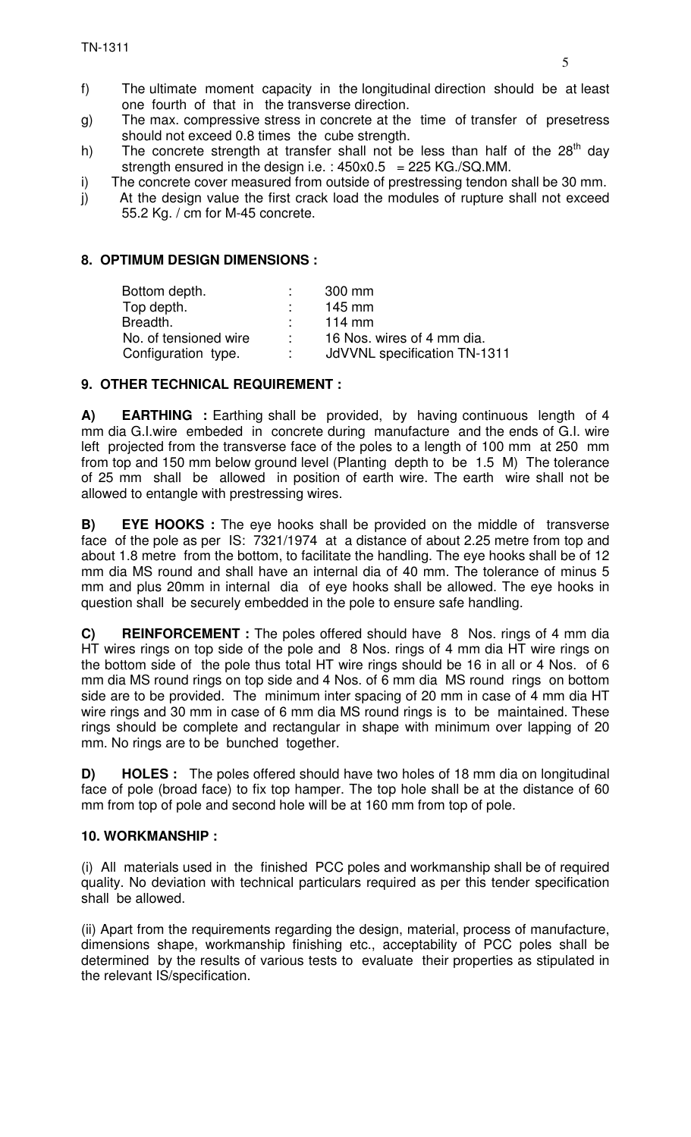- f) The ultimate moment capacity in the longitudinal direction should be at least one fourth of that in the transverse direction.
- g) The max. compressive stress in concrete at the time of transfer of presetress should not exceed 0.8 times the cube strength.
- h) The concrete strength at transfer shall not be less than half of the  $28<sup>th</sup>$  day strength ensured in the design i.e. :  $450x0.5 = 225$  KG./SQ.MM.
- i) The concrete cover measured from outside of prestressing tendon shall be 30 mm.
- j) At the design value the first crack load the modules of rupture shall not exceed 55.2 Kg. / cm for M-45 concrete.

#### **8. OPTIMUM DESIGN DIMENSIONS :**

| 300 mm                       |
|------------------------------|
| 145 mm                       |
| $114 \text{ mm}$             |
| 16 Nos. wires of 4 mm dia.   |
| JdVVNL specification TN-1311 |
|                              |

## **9. OTHER TECHNICAL REQUIREMENT :**

**A) EARTHING** : Earthing shall be provided, by having continuous length of 4 mm dia G.I.wire embeded in concrete during manufacture and the ends of G.I. wire left projected from the transverse face of the poles to a length of 100 mm at 250 mm from top and 150 mm below ground level (Planting depth to be 1.5 M) The tolerance of 25 mm shall be allowed in position of earth wire. The earth wire shall not be allowed to entangle with prestressing wires.

**B) EYE HOOKS :** The eye hooks shall be provided on the middle of transverse face of the pole as per IS: 7321/1974 at a distance of about 2.25 metre from top and about 1.8 metre from the bottom, to facilitate the handling. The eye hooks shall be of 12 mm dia MS round and shall have an internal dia of 40 mm. The tolerance of minus 5 mm and plus 20mm in internal dia of eye hooks shall be allowed. The eye hooks in question shall be securely embedded in the pole to ensure safe handling.

**C) REINFORCEMENT :** The poles offered should have 8 Nos. rings of 4 mm dia HT wires rings on top side of the pole and 8 Nos. rings of 4 mm dia HT wire rings on the bottom side of the pole thus total HT wire rings should be 16 in all or 4 Nos. of 6 mm dia MS round rings on top side and 4 Nos. of 6 mm dia MS round rings on bottom side are to be provided. The minimum inter spacing of 20 mm in case of 4 mm dia HT wire rings and 30 mm in case of 6 mm dia MS round rings is to be maintained. These rings should be complete and rectangular in shape with minimum over lapping of 20 mm. No rings are to be bunched together.

**D) HOLES :** The poles offered should have two holes of 18 mm dia on longitudinal face of pole (broad face) to fix top hamper. The top hole shall be at the distance of 60 mm from top of pole and second hole will be at 160 mm from top of pole.

#### **10. WORKMANSHIP :**

(i)All materials used in the finished PCC poles and workmanship shall be of required quality. No deviation with technical particulars required as per this tender specification shall be allowed.

(ii) Apart from the requirements regarding the design, material, process of manufacture, dimensions shape, workmanship finishing etc., acceptability of PCC poles shall be determined by the results of various tests to evaluate their properties as stipulated in the relevant IS/specification.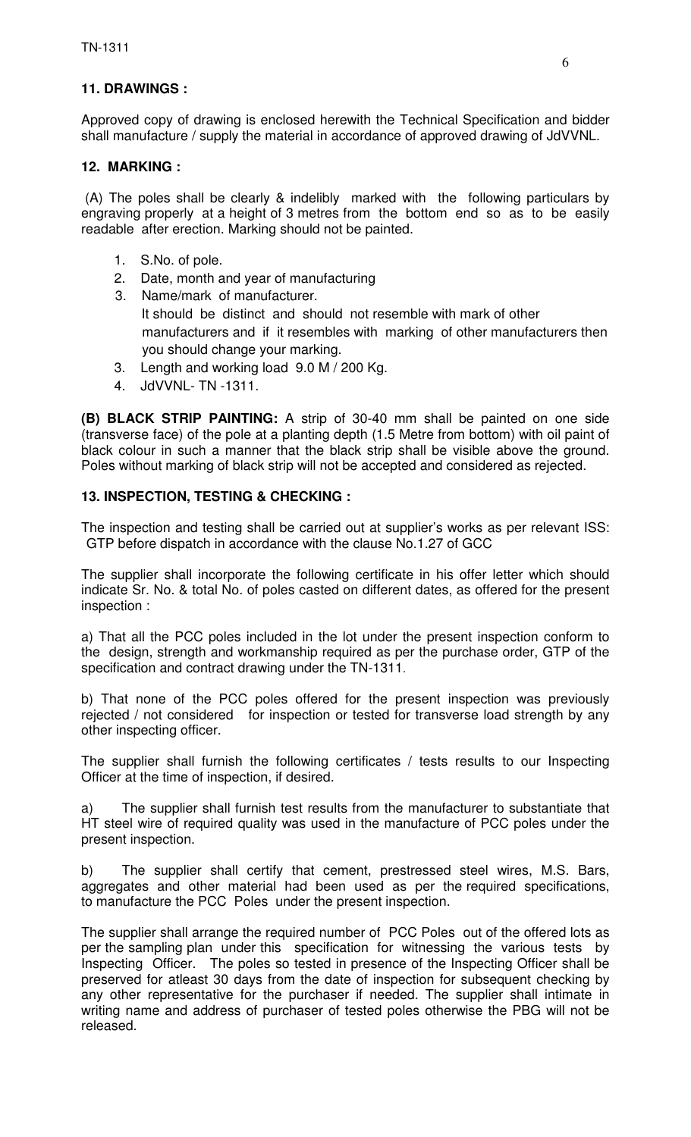# **11. DRAWINGS :**

Approved copy of drawing is enclosed herewith the Technical Specification and bidder shall manufacture / supply the material in accordance of approved drawing of JdVVNL.

## **12. MARKING :**

 (A) The poles shall be clearly & indelibly marked with the following particulars by engraving properly at a height of 3 metres from the bottom end so as to be easily readable after erection. Marking should not be painted.

- 1. S.No. of pole.
- 2. Date, month and year of manufacturing
- 3. Name/mark of manufacturer. It should be distinct and should not resemble with mark of other manufacturers and if it resembles with marking of other manufacturers then you should change your marking.
- 3. Length and working load 9.0 M / 200 Kg.
- 4. JdVVNL- TN -1311.

**(B) BLACK STRIP PAINTING:** A strip of 30-40 mm shall be painted on one side (transverse face) of the pole at a planting depth (1.5 Metre from bottom) with oil paint of black colour in such a manner that the black strip shall be visible above the ground. Poles without marking of black strip will not be accepted and considered as rejected.

## **13. INSPECTION, TESTING & CHECKING :**

The inspection and testing shall be carried out at supplier's works as per relevant ISS: GTP before dispatch in accordance with the clause No.1.27 of GCC

The supplier shall incorporate the following certificate in his offer letter which should indicate Sr. No. & total No. of poles casted on different dates, as offered for the present inspection :

a) That all the PCC poles included in the lot under the present inspection conform to the design, strength and workmanship required as per the purchase order, GTP of the specification and contract drawing under the TN-1311.

b) That none of the PCC poles offered for the present inspection was previously rejected / not considered for inspection or tested for transverse load strength by any other inspecting officer.

The supplier shall furnish the following certificates / tests results to our Inspecting Officer at the time of inspection, if desired.

a) The supplier shall furnish test results from the manufacturer to substantiate that HT steel wire of required quality was used in the manufacture of PCC poles under the present inspection.

b) The supplier shall certify that cement, prestressed steel wires, M.S. Bars, aggregates and other material had been used as per the required specifications, to manufacture the PCC Poles under the present inspection.

The supplier shall arrange the required number of PCC Poles out of the offered lots as per the sampling plan under this specification for witnessing the various tests by Inspecting Officer. The poles so tested in presence of the Inspecting Officer shall be preserved for atleast 30 days from the date of inspection for subsequent checking by any other representative for the purchaser if needed. The supplier shall intimate in writing name and address of purchaser of tested poles otherwise the PBG will not be released.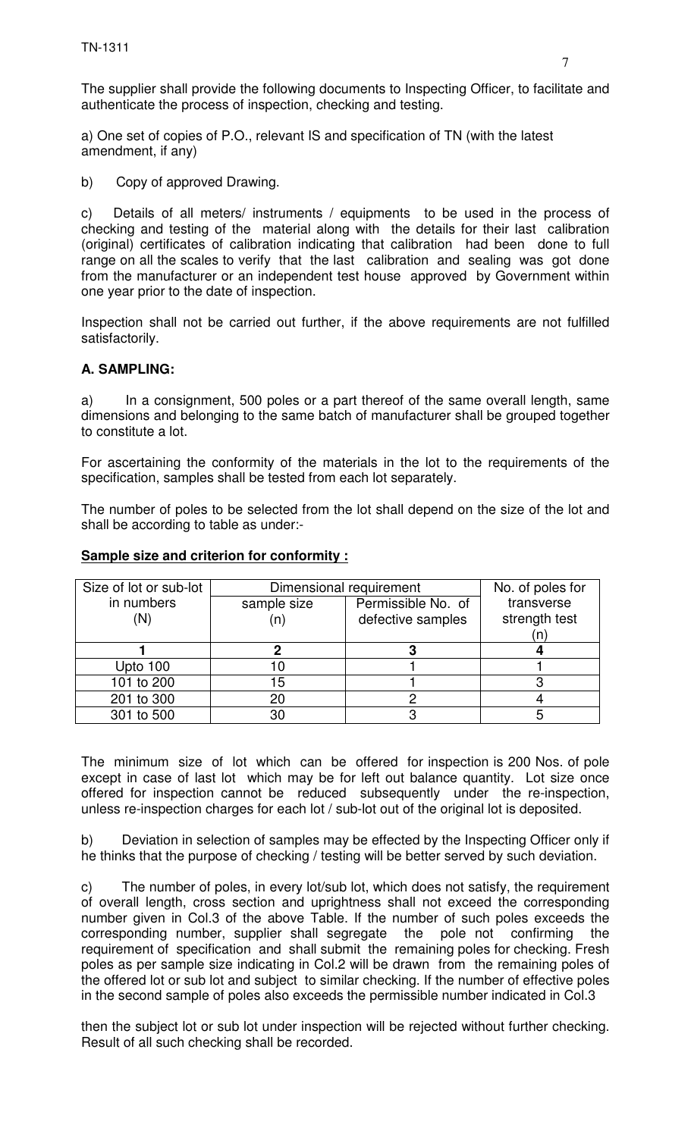The supplier shall provide the following documents to Inspecting Officer, to facilitate and authenticate the process of inspection, checking and testing.

a) One set of copies of P.O., relevant IS and specification of TN (with the latest amendment, if any)

b) Copy of approved Drawing.

c) Details of all meters/ instruments / equipments to be used in the process of checking and testing of the material along with the details for their last calibration (original) certificates of calibration indicating that calibration had been done to full range on all the scales to verify that the last calibration and sealing was got done from the manufacturer or an independent test house approved by Government within one year prior to the date of inspection.

Inspection shall not be carried out further, if the above requirements are not fulfilled satisfactorily.

#### **A. SAMPLING:**

a) In a consignment, 500 poles or a part thereof of the same overall length, same dimensions and belonging to the same batch of manufacturer shall be grouped together to constitute a lot.

For ascertaining the conformity of the materials in the lot to the requirements of the specification, samples shall be tested from each lot separately.

The number of poles to be selected from the lot shall depend on the size of the lot and shall be according to table as under:-

| Size of lot or sub-lot | Dimensional requirement | No. of poles for   |               |
|------------------------|-------------------------|--------------------|---------------|
| in numbers             | sample size             | Permissible No. of | transverse    |
| (N)                    |                         | defective samples  | strength test |
|                        |                         |                    | (n            |
|                        |                         |                    |               |
| Upto 100               |                         |                    |               |
| 101 to 200             | 15                      |                    |               |
| 201 to 300             | 20                      |                    |               |
| 301 to 500             | 30                      |                    |               |

#### **Sample size and criterion for conformity :**

The minimum size of lot which can be offered for inspection is 200 Nos. of pole except in case of last lot which may be for left out balance quantity. Lot size once offered for inspection cannot be reduced subsequently under the re-inspection, unless re-inspection charges for each lot / sub-lot out of the original lot is deposited.

b) Deviation in selection of samples may be effected by the Inspecting Officer only if he thinks that the purpose of checking / testing will be better served by such deviation.

c) The number of poles, in every lot/sub lot, which does not satisfy, the requirement of overall length, cross section and uprightness shall not exceed the corresponding number given in Col.3 of the above Table. If the number of such poles exceeds the corresponding number, supplier shall segregate the pole not confirming the requirement of specification and shall submit the remaining poles for checking. Fresh poles as per sample size indicating in Col.2 will be drawn from the remaining poles of the offered lot or sub lot and subject to similar checking. If the number of effective poles in the second sample of poles also exceeds the permissible number indicated in Col.3

then the subject lot or sub lot under inspection will be rejected without further checking. Result of all such checking shall be recorded.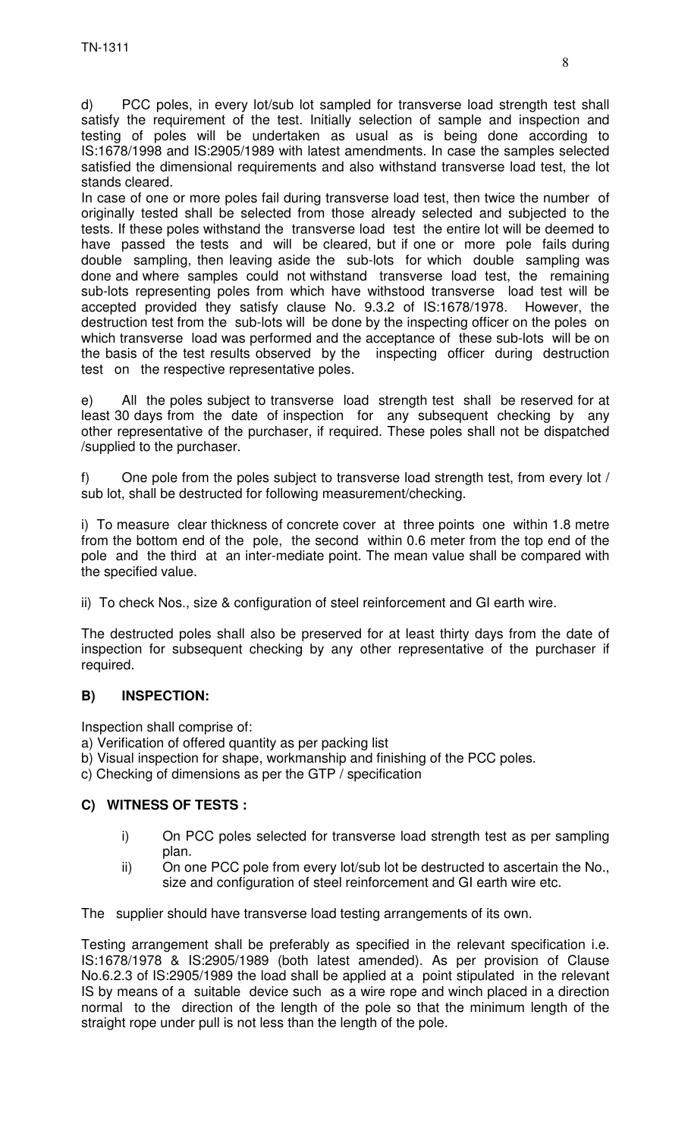d) PCC poles, in every lot/sub lot sampled for transverse load strength test shall satisfy the requirement of the test. Initially selection of sample and inspection and testing of poles will be undertaken as usual as is being done according to IS:1678/1998 and IS:2905/1989 with latest amendments. In case the samples selected satisfied the dimensional requirements and also withstand transverse load test, the lot stands cleared.

In case of one or more poles fail during transverse load test, then twice the number of originally tested shall be selected from those already selected and subjected to the tests. If these poles withstand the transverse load test the entire lot will be deemed to have passed the tests and will be cleared, but if one or more pole fails during double sampling, then leaving aside the sub-lots for which double sampling was done and where samples could not withstand transverse load test, the remaining sub-lots representing poles from which have withstood transverse load test will be accepted provided they satisfy clause No. 9.3.2 of IS:1678/1978. However, the destruction test from the sub-lots will be done by the inspecting officer on the poles on which transverse load was performed and the acceptance of these sub-lots will be on the basis of the test results observed by the inspecting officer during destruction test on the respective representative poles.

e) All the poles subject to transverse load strength test shall be reserved for at least 30 days from the date of inspection for any subsequent checking by any other representative of the purchaser, if required. These poles shall not be dispatched /supplied to the purchaser.

f) One pole from the poles subject to transverse load strength test, from every lot / sub lot, shall be destructed for following measurement/checking.

i) To measure clear thickness of concrete cover at three points one within 1.8 metre from the bottom end of the pole, the second within 0.6 meter from the top end of the pole and the third at an inter-mediate point. The mean value shall be compared with the specified value.

ii) To check Nos., size & configuration of steel reinforcement and GI earth wire.

The destructed poles shall also be preserved for at least thirty days from the date of inspection for subsequent checking by any other representative of the purchaser if required.

#### **B) INSPECTION:**

Inspection shall comprise of:

- a) Verification of offered quantity as per packing list
- b) Visual inspection for shape, workmanship and finishing of the PCC poles.
- c) Checking of dimensions as per the GTP / specification

#### **C) WITNESS OF TESTS :**

- i) On PCC poles selected for transverse load strength test as per sampling plan.
- ii) On one PCC pole from every lot/sub lot be destructed to ascertain the No., size and configuration of steel reinforcement and GI earth wire etc.

The supplier should have transverse load testing arrangements of its own.

Testing arrangement shall be preferably as specified in the relevant specification i.e. IS:1678/1978 & IS:2905/1989 (both latest amended). As per provision of Clause No.6.2.3 of IS:2905/1989 the load shall be applied at a point stipulated in the relevant IS by means of a suitable device such as a wire rope and winch placed in a direction normal to the direction of the length of the pole so that the minimum length of the straight rope under pull is not less than the length of the pole.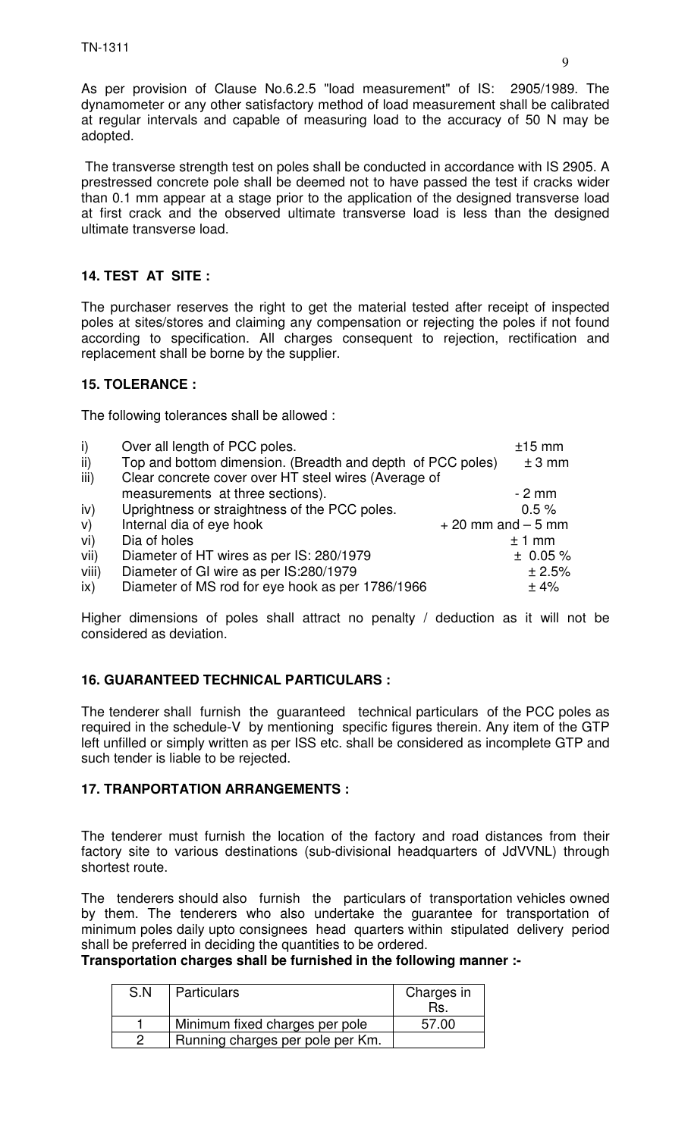As per provision of Clause No.6.2.5 "load measurement" of IS: 2905/1989. The dynamometer or any other satisfactory method of load measurement shall be calibrated at regular intervals and capable of measuring load to the accuracy of 50 N may be adopted.

 The transverse strength test on poles shall be conducted in accordance with IS 2905. A prestressed concrete pole shall be deemed not to have passed the test if cracks wider than 0.1 mm appear at a stage prior to the application of the designed transverse load at first crack and the observed ultimate transverse load is less than the designed ultimate transverse load.

# **14. TEST AT SITE :**

The purchaser reserves the right to get the material tested after receipt of inspected poles at sites/stores and claiming any compensation or rejecting the poles if not found according to specification. All charges consequent to rejection, rectification and replacement shall be borne by the supplier.

## **15. TOLERANCE :**

The following tolerances shall be allowed :

| $\vert$ i) | Over all length of PCC poles.                              |                      | $±15$ mm |
|------------|------------------------------------------------------------|----------------------|----------|
| ii)        | Top and bottom dimension. (Breadth and depth of PCC poles) |                      | $±3$ mm  |
| iii)       | Clear concrete cover over HT steel wires (Average of       |                      |          |
|            | measurements at three sections).                           |                      | $-2$ mm  |
| iv)        | Uprightness or straightness of the PCC poles.              |                      | 0.5%     |
| V)         | Internal dia of eye hook                                   | $+20$ mm and $-5$ mm |          |
| vi)        | Dia of holes                                               |                      | $±1$ mm  |
| vii)       | Diameter of HT wires as per IS: 280/1979                   |                      | ± 0.05%  |
| viii)      | Diameter of GI wire as per IS:280/1979                     |                      | ± 2.5%   |
| ix)        | Diameter of MS rod for eye hook as per 1786/1966           |                      | ±4%      |

Higher dimensions of poles shall attract no penalty / deduction as it will not be considered as deviation.

# **16. GUARANTEED TECHNICAL PARTICULARS :**

The tenderer shall furnish the guaranteed technical particulars of the PCC poles as required in the schedule-V by mentioning specific figures therein. Any item of the GTP left unfilled or simply written as per ISS etc. shall be considered as incomplete GTP and such tender is liable to be rejected.

#### **17. TRANPORTATION ARRANGEMENTS :**

The tenderer must furnish the location of the factory and road distances from their factory site to various destinations (sub-divisional headquarters of JdVVNL) through shortest route.

The tenderers should also furnish the particulars of transportation vehicles owned by them. The tenderers who also undertake the guarantee for transportation of minimum poles daily upto consignees head quarters within stipulated delivery period shall be preferred in deciding the quantities to be ordered.

**Transportation charges shall be furnished in the following manner :-**

| S.N | <b>Particulars</b>               | Charges in |
|-----|----------------------------------|------------|
|     |                                  | Rs.        |
|     | Minimum fixed charges per pole   | 57.00      |
|     | Running charges per pole per Km. |            |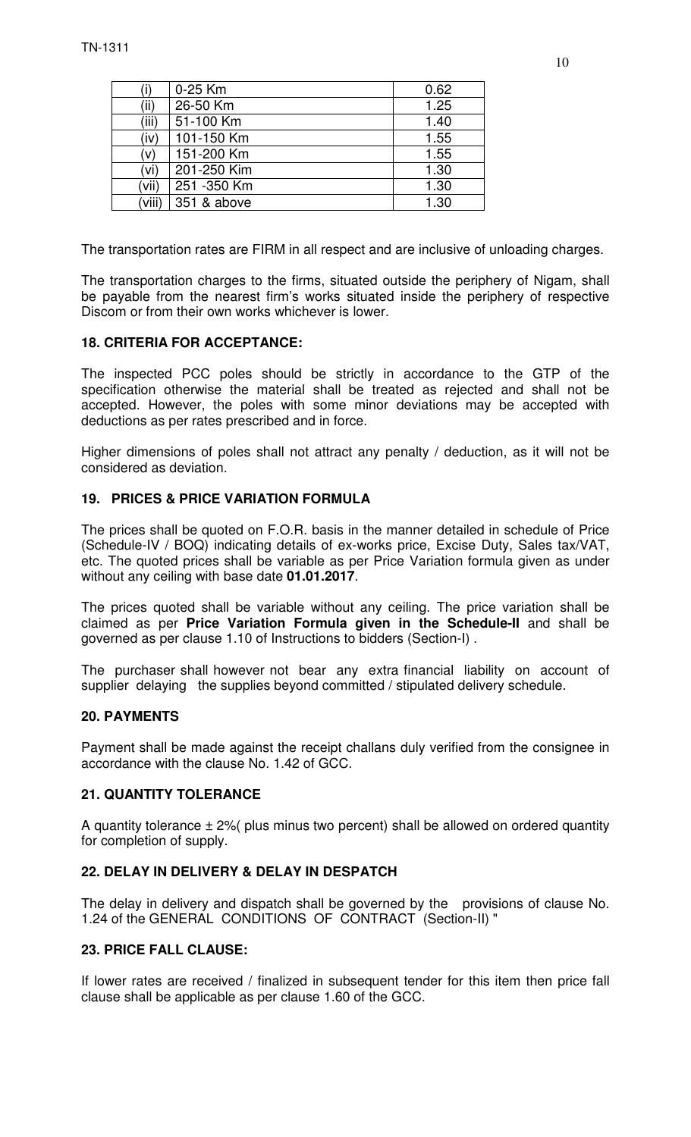|        | 0-25 Km      | 0.62 |
|--------|--------------|------|
| (ii)   | 26-50 Km     | 1.25 |
| (iii)  | 51-100 Km    | 1.40 |
| (iv)   | 101-150 Km   | 1.55 |
| (v)    | 151-200 Km   | 1.55 |
| (vi)   | 201-250 Kim  | 1.30 |
| (vii)  | 251 - 350 Km | 1.30 |
| (viii) | 351 & above  | 1.30 |

The transportation rates are FIRM in all respect and are inclusive of unloading charges.

The transportation charges to the firms, situated outside the periphery of Nigam, shall be payable from the nearest firm's works situated inside the periphery of respective Discom or from their own works whichever is lower.

#### **18. CRITERIA FOR ACCEPTANCE:**

The inspected PCC poles should be strictly in accordance to the GTP of the specification otherwise the material shall be treated as rejected and shall not be accepted. However, the poles with some minor deviations may be accepted with deductions as per rates prescribed and in force.

Higher dimensions of poles shall not attract any penalty / deduction, as it will not be considered as deviation.

#### **19. PRICES & PRICE VARIATION FORMULA**

The prices shall be quoted on F.O.R. basis in the manner detailed in schedule of Price (Schedule-IV / BOQ) indicating details of ex-works price, Excise Duty, Sales tax/VAT, etc. The quoted prices shall be variable as per Price Variation formula given as under without any ceiling with base date **01.01.2017**.

The prices quoted shall be variable without any ceiling. The price variation shall be claimed as per **Price Variation Formula given in the Schedule-II** and shall be governed as per clause 1.10 of Instructions to bidders (Section-I) .

The purchaser shall however not bear any extra financial liability on account of supplier delaying the supplies beyond committed / stipulated delivery schedule.

#### **20. PAYMENTS**

Payment shall be made against the receipt challans duly verified from the consignee in accordance with the clause No. 1.42 of GCC.

#### **21. QUANTITY TOLERANCE**

A quantity tolerance  $\pm 2$ % plus minus two percent) shall be allowed on ordered quantity for completion of supply.

#### **22. DELAY IN DELIVERY & DELAY IN DESPATCH**

The delay in delivery and dispatch shall be governed by the provisions of clause No. 1.24 of the GENERAL CONDITIONS OF CONTRACT (Section-II) "

#### **23. PRICE FALL CLAUSE:**

If lower rates are received / finalized in subsequent tender for this item then price fall clause shall be applicable as per clause 1.60 of the GCC.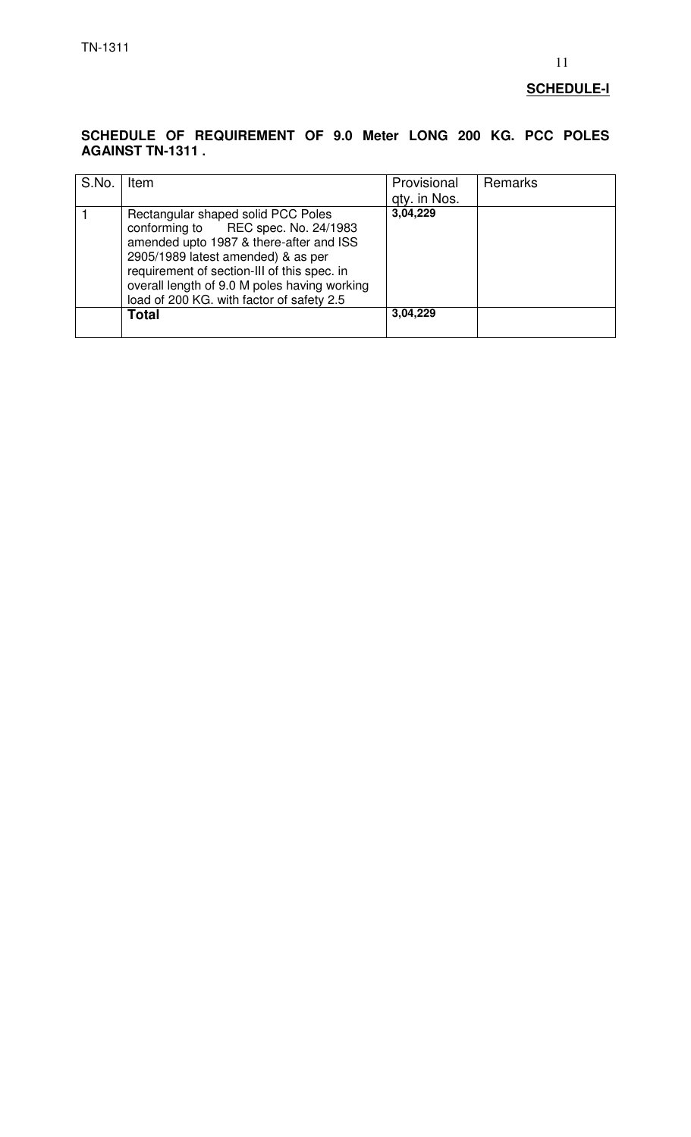#### **SCHEDULE-I**

#### **SCHEDULE OF REQUIREMENT OF 9.0 Meter LONG 200 KG. PCC POLES AGAINST TN-1311 .**

| S.No. | Item                                                                                                                                                                                                                                                                                                   | Provisional<br>gty. in Nos. | Remarks |
|-------|--------------------------------------------------------------------------------------------------------------------------------------------------------------------------------------------------------------------------------------------------------------------------------------------------------|-----------------------------|---------|
|       | Rectangular shaped solid PCC Poles<br>conforming to REC spec. No. 24/1983<br>amended upto 1987 & there-after and ISS<br>2905/1989 latest amended) & as per<br>requirement of section-III of this spec. in<br>overall length of 9.0 M poles having working<br>load of 200 KG. with factor of safety 2.5 | 3,04,229                    |         |
|       | Total                                                                                                                                                                                                                                                                                                  | 3,04,229                    |         |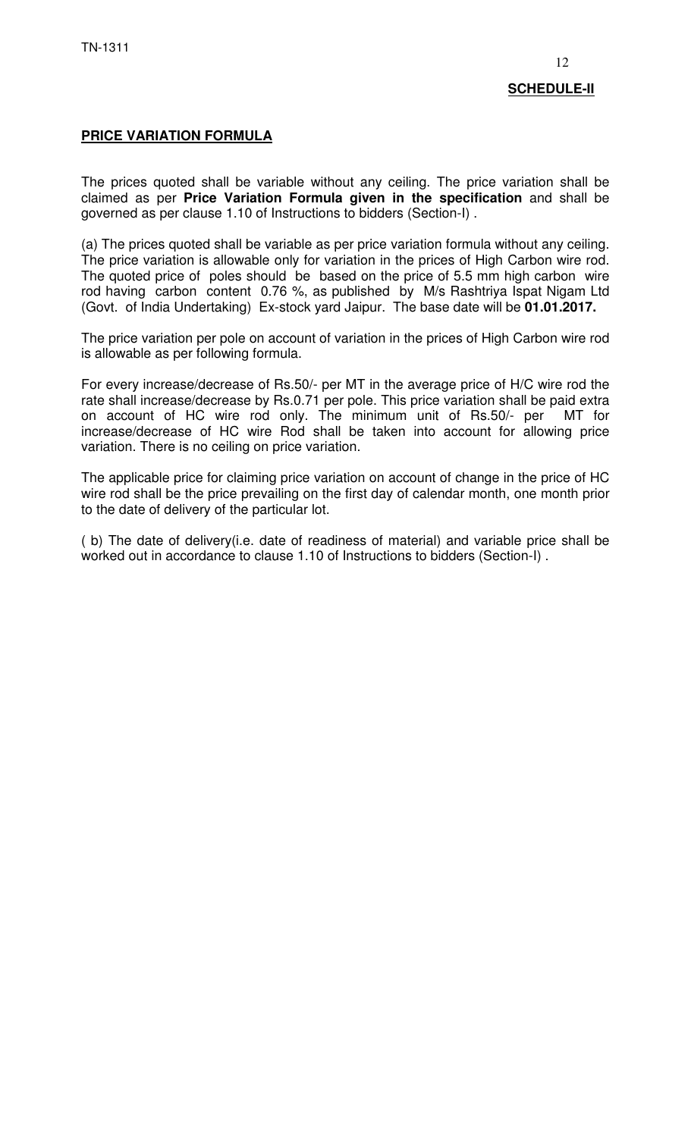## **PRICE VARIATION FORMULA**

The prices quoted shall be variable without any ceiling. The price variation shall be claimed as per **Price Variation Formula given in the specification** and shall be governed as per clause 1.10 of Instructions to bidders (Section-I) .

(a) The prices quoted shall be variable as per price variation formula without any ceiling. The price variation is allowable only for variation in the prices of High Carbon wire rod. The quoted price of poles should be based on the price of 5.5 mm high carbon wire rod having carbon content 0.76 %, as published by M/s Rashtriya Ispat Nigam Ltd (Govt. of India Undertaking) Ex-stock yard Jaipur. The base date will be **01.01.2017.**

The price variation per pole on account of variation in the prices of High Carbon wire rod is allowable as per following formula.

For every increase/decrease of Rs.50/- per MT in the average price of H/C wire rod the rate shall increase/decrease by Rs.0.71 per pole. This price variation shall be paid extra on account of HC wire rod only. The minimum unit of Rs.50/- per MT for increase/decrease of HC wire Rod shall be taken into account for allowing price variation. There is no ceiling on price variation.

The applicable price for claiming price variation on account of change in the price of HC wire rod shall be the price prevailing on the first day of calendar month, one month prior to the date of delivery of the particular lot.

( b) The date of delivery(i.e. date of readiness of material) and variable price shall be worked out in accordance to clause 1.10 of Instructions to bidders (Section-I) .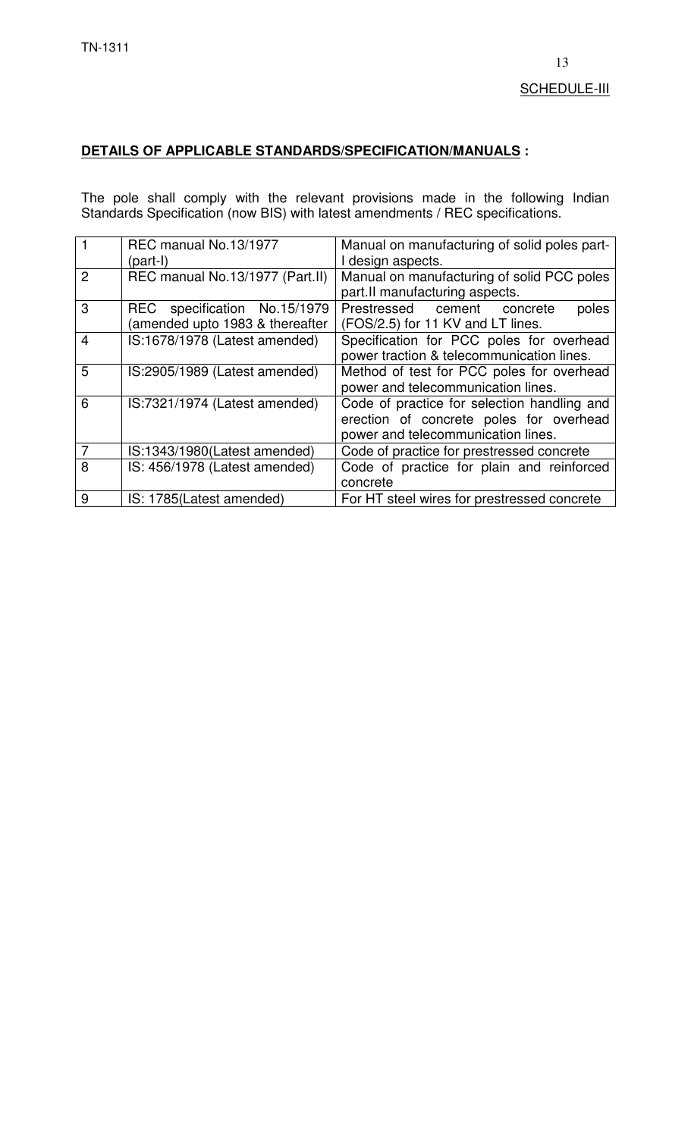# **DETAILS OF APPLICABLE STANDARDS/SPECIFICATION/MANUALS :**

The pole shall comply with the relevant provisions made in the following Indian Standards Specification (now BIS) with latest amendments / REC specifications.

|                | REC manual No.13/1977<br>(part-I)                              | Manual on manufacturing of solid poles part-<br>I design aspects.                                                            |
|----------------|----------------------------------------------------------------|------------------------------------------------------------------------------------------------------------------------------|
| $\mathcal{P}$  | REC manual No.13/1977 (Part.II)                                | Manual on manufacturing of solid PCC poles<br>part.II manufacturing aspects.                                                 |
| 3              | REC specification No.15/1979<br>amended upto 1983 & thereafter | Prestressed cement<br>poles<br>concrete<br>(FOS/2.5) for 11 KV and LT lines.                                                 |
| $\overline{4}$ | IS:1678/1978 (Latest amended)                                  | Specification for PCC poles for overhead<br>power traction & telecommunication lines.                                        |
| 5              | IS:2905/1989 (Latest amended)                                  | Method of test for PCC poles for overhead<br>power and telecommunication lines.                                              |
| 6              | IS:7321/1974 (Latest amended)                                  | Code of practice for selection handling and<br>erection of concrete poles for overhead<br>power and telecommunication lines. |
| 7              | IS:1343/1980(Latest amended)                                   | Code of practice for prestressed concrete                                                                                    |
| 8              | IS: 456/1978 (Latest amended)                                  | Code of practice for plain and reinforced<br>concrete                                                                        |
| 9              | IS: 1785(Latest amended)                                       | For HT steel wires for prestressed concrete                                                                                  |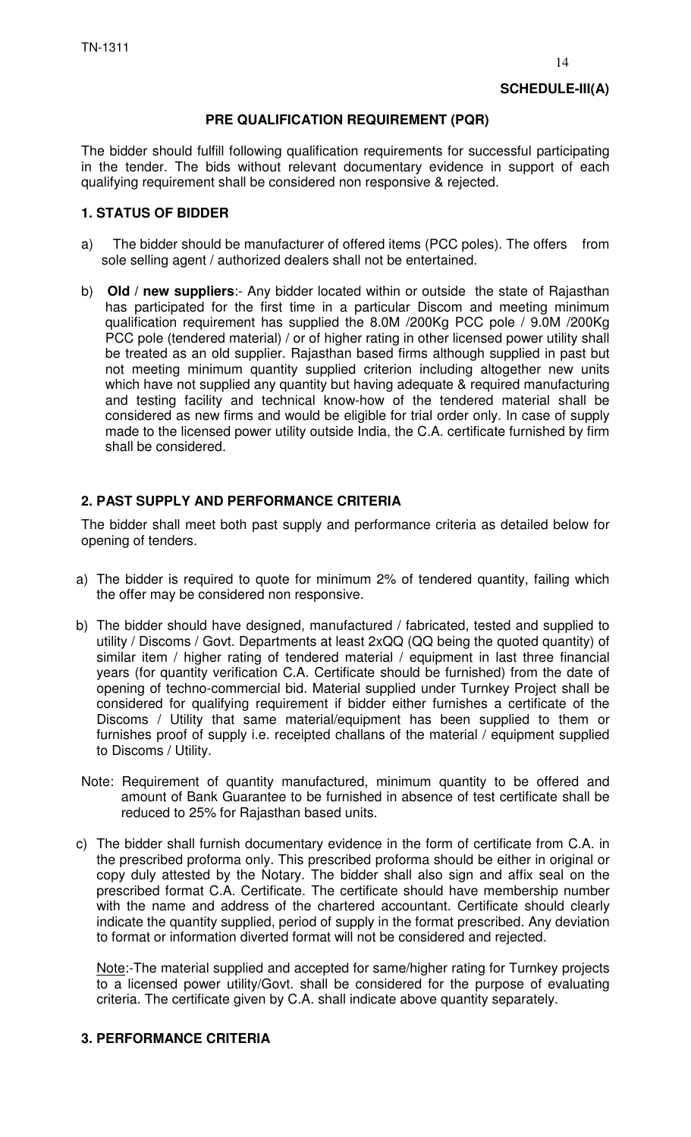#### **PRE QUALIFICATION REQUIREMENT (PQR)**

The bidder should fulfill following qualification requirements for successful participating in the tender. The bids without relevant documentary evidence in support of each qualifying requirement shall be considered non responsive & rejected.

## **1. STATUS OF BIDDER**

- a) The bidder should be manufacturer of offered items (PCC poles). The offers from sole selling agent / authorized dealers shall not be entertained.
- b) **Old / new suppliers**:- Any bidder located within or outside the state of Rajasthan has participated for the first time in a particular Discom and meeting minimum qualification requirement has supplied the 8.0M /200Kg PCC pole / 9.0M /200Kg PCC pole (tendered material) / or of higher rating in other licensed power utility shall be treated as an old supplier. Rajasthan based firms although supplied in past but not meeting minimum quantity supplied criterion including altogether new units which have not supplied any quantity but having adequate & required manufacturing and testing facility and technical know-how of the tendered material shall be considered as new firms and would be eligible for trial order only. In case of supply made to the licensed power utility outside India, the C.A. certificate furnished by firm shall be considered.

## **2. PAST SUPPLY AND PERFORMANCE CRITERIA**

The bidder shall meet both past supply and performance criteria as detailed below for opening of tenders.

- a) The bidder is required to quote for minimum 2% of tendered quantity, failing which the offer may be considered non responsive.
- b) The bidder should have designed, manufactured / fabricated, tested and supplied to utility / Discoms / Govt. Departments at least 2xQQ (QQ being the quoted quantity) of similar item / higher rating of tendered material / equipment in last three financial years (for quantity verification C.A. Certificate should be furnished) from the date of opening of techno-commercial bid. Material supplied under Turnkey Project shall be considered for qualifying requirement if bidder either furnishes a certificate of the Discoms / Utility that same material/equipment has been supplied to them or furnishes proof of supply i.e. receipted challans of the material / equipment supplied to Discoms / Utility.
- Note: Requirement of quantity manufactured, minimum quantity to be offered and amount of Bank Guarantee to be furnished in absence of test certificate shall be reduced to 25% for Rajasthan based units.
- c) The bidder shall furnish documentary evidence in the form of certificate from C.A. in the prescribed proforma only. This prescribed proforma should be either in original or copy duly attested by the Notary. The bidder shall also sign and affix seal on the prescribed format C.A. Certificate. The certificate should have membership number with the name and address of the chartered accountant. Certificate should clearly indicate the quantity supplied, period of supply in the format prescribed. Any deviation to format or information diverted format will not be considered and rejected.

Note:-The material supplied and accepted for same/higher rating for Turnkey projects to a licensed power utility/Govt. shall be considered for the purpose of evaluating criteria. The certificate given by C.A. shall indicate above quantity separately.

#### **3. PERFORMANCE CRITERIA**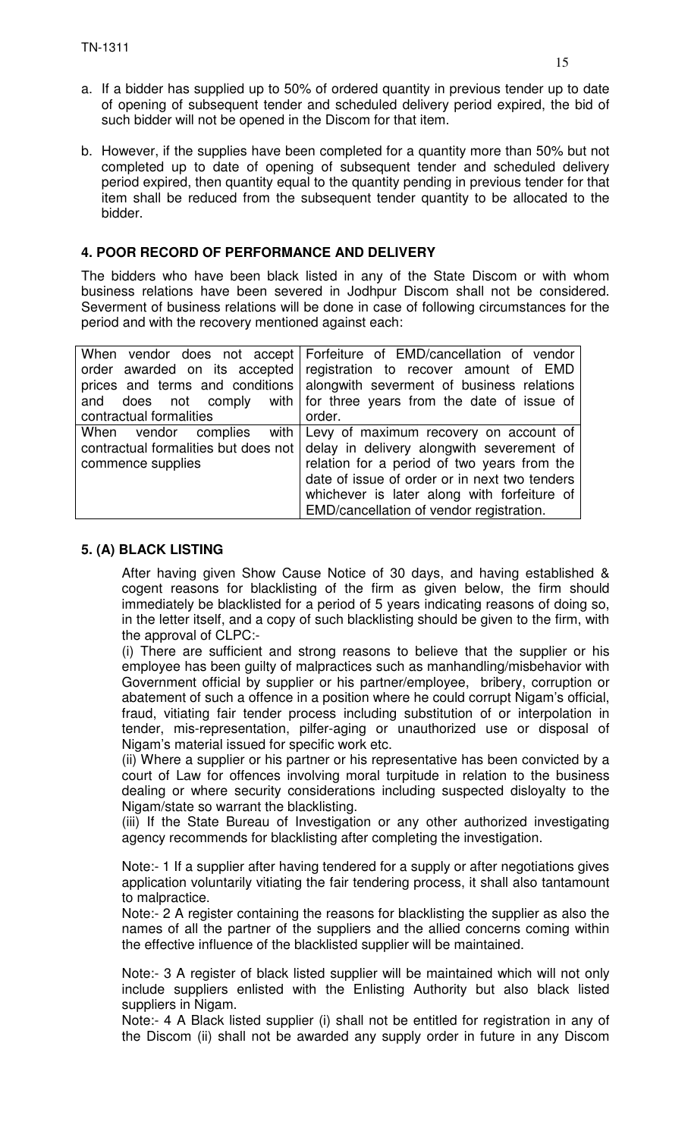- a. If a bidder has supplied up to 50% of ordered quantity in previous tender up to date of opening of subsequent tender and scheduled delivery period expired, the bid of such bidder will not be opened in the Discom for that item.
- b. However, if the supplies have been completed for a quantity more than 50% but not completed up to date of opening of subsequent tender and scheduled delivery period expired, then quantity equal to the quantity pending in previous tender for that item shall be reduced from the subsequent tender quantity to be allocated to the bidder.

## **4. POOR RECORD OF PERFORMANCE AND DELIVERY**

The bidders who have been black listed in any of the State Discom or with whom business relations have been severed in Jodhpur Discom shall not be considered. Severment of business relations will be done in case of following circumstances for the period and with the recovery mentioned against each:

|                         | When vendor does not accept Forfeiture of EMD/cancellation of vendor            |
|-------------------------|---------------------------------------------------------------------------------|
|                         | order awarded on its accepted registration to recover amount of EMD             |
|                         | prices and terms and conditions alongwith severment of business relations       |
|                         | and does not comply with for three years from the date of issue of              |
| contractual formalities | order.                                                                          |
|                         | When vendor complies with Levy of maximum recovery on account of                |
|                         | contractual formalities but does not delay in delivery along with severement of |
| commence supplies       | relation for a period of two years from the                                     |
|                         | date of issue of order or in next two tenders                                   |
|                         | whichever is later along with forfeiture of                                     |
|                         | EMD/cancellation of vendor registration.                                        |

#### **5. (A) BLACK LISTING**

After having given Show Cause Notice of 30 days, and having established & cogent reasons for blacklisting of the firm as given below, the firm should immediately be blacklisted for a period of 5 years indicating reasons of doing so, in the letter itself, and a copy of such blacklisting should be given to the firm, with the approval of CLPC:-

(i) There are sufficient and strong reasons to believe that the supplier or his employee has been guilty of malpractices such as manhandling/misbehavior with Government official by supplier or his partner/employee, bribery, corruption or abatement of such a offence in a position where he could corrupt Nigam's official, fraud, vitiating fair tender process including substitution of or interpolation in tender, mis-representation, pilfer-aging or unauthorized use or disposal of Nigam's material issued for specific work etc.

(ii) Where a supplier or his partner or his representative has been convicted by a court of Law for offences involving moral turpitude in relation to the business dealing or where security considerations including suspected disloyalty to the Nigam/state so warrant the blacklisting.

(iii) If the State Bureau of Investigation or any other authorized investigating agency recommends for blacklisting after completing the investigation.

Note:- 1 If a supplier after having tendered for a supply or after negotiations gives application voluntarily vitiating the fair tendering process, it shall also tantamount to malpractice.

Note:- 2 A register containing the reasons for blacklisting the supplier as also the names of all the partner of the suppliers and the allied concerns coming within the effective influence of the blacklisted supplier will be maintained.

Note:- 3 A register of black listed supplier will be maintained which will not only include suppliers enlisted with the Enlisting Authority but also black listed suppliers in Nigam.

Note:- 4 A Black listed supplier (i) shall not be entitled for registration in any of the Discom (ii) shall not be awarded any supply order in future in any Discom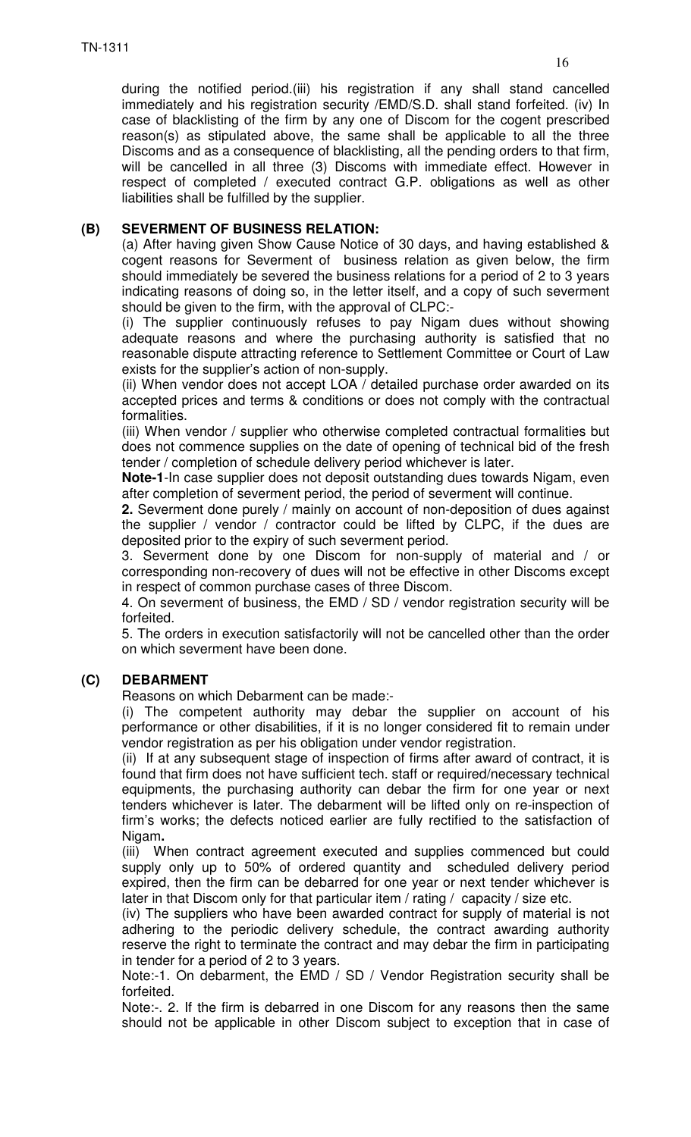during the notified period.(iii) his registration if any shall stand cancelled immediately and his registration security /EMD/S.D. shall stand forfeited. (iv) In case of blacklisting of the firm by any one of Discom for the cogent prescribed reason(s) as stipulated above, the same shall be applicable to all the three Discoms and as a consequence of blacklisting, all the pending orders to that firm, will be cancelled in all three (3) Discoms with immediate effect. However in respect of completed / executed contract G.P. obligations as well as other liabilities shall be fulfilled by the supplier.

## **(B) SEVERMENT OF BUSINESS RELATION:**

(a) After having given Show Cause Notice of 30 days, and having established & cogent reasons for Severment of business relation as given below, the firm should immediately be severed the business relations for a period of 2 to 3 years indicating reasons of doing so, in the letter itself, and a copy of such severment should be given to the firm, with the approval of CLPC:-

(i) The supplier continuously refuses to pay Nigam dues without showing adequate reasons and where the purchasing authority is satisfied that no reasonable dispute attracting reference to Settlement Committee or Court of Law exists for the supplier's action of non-supply.

(ii) When vendor does not accept LOA / detailed purchase order awarded on its accepted prices and terms & conditions or does not comply with the contractual formalities.

(iii) When vendor / supplier who otherwise completed contractual formalities but does not commence supplies on the date of opening of technical bid of the fresh tender / completion of schedule delivery period whichever is later.

**Note-1**-In case supplier does not deposit outstanding dues towards Nigam, even after completion of severment period, the period of severment will continue.

**2.** Severment done purely / mainly on account of non-deposition of dues against the supplier / vendor / contractor could be lifted by CLPC, if the dues are deposited prior to the expiry of such severment period.

3. Severment done by one Discom for non-supply of material and / or corresponding non-recovery of dues will not be effective in other Discoms except in respect of common purchase cases of three Discom.

4. On severment of business, the EMD / SD / vendor registration security will be forfeited.

5. The orders in execution satisfactorily will not be cancelled other than the order on which severment have been done.

# **(C) DEBARMENT**

Reasons on which Debarment can be made:-

(i) The competent authority may debar the supplier on account of his performance or other disabilities, if it is no longer considered fit to remain under vendor registration as per his obligation under vendor registration.

(ii) If at any subsequent stage of inspection of firms after award of contract, it is found that firm does not have sufficient tech. staff or required/necessary technical equipments, the purchasing authority can debar the firm for one year or next tenders whichever is later. The debarment will be lifted only on re-inspection of firm's works; the defects noticed earlier are fully rectified to the satisfaction of Nigam**.** 

(iii) When contract agreement executed and supplies commenced but could supply only up to 50% of ordered quantity and scheduled delivery period expired, then the firm can be debarred for one year or next tender whichever is later in that Discom only for that particular item / rating / capacity / size etc.

(iv) The suppliers who have been awarded contract for supply of material is not adhering to the periodic delivery schedule, the contract awarding authority reserve the right to terminate the contract and may debar the firm in participating in tender for a period of 2 to 3 years.

Note:-1. On debarment, the EMD / SD / Vendor Registration security shall be forfeited.

Note:-. 2. If the firm is debarred in one Discom for any reasons then the same should not be applicable in other Discom subject to exception that in case of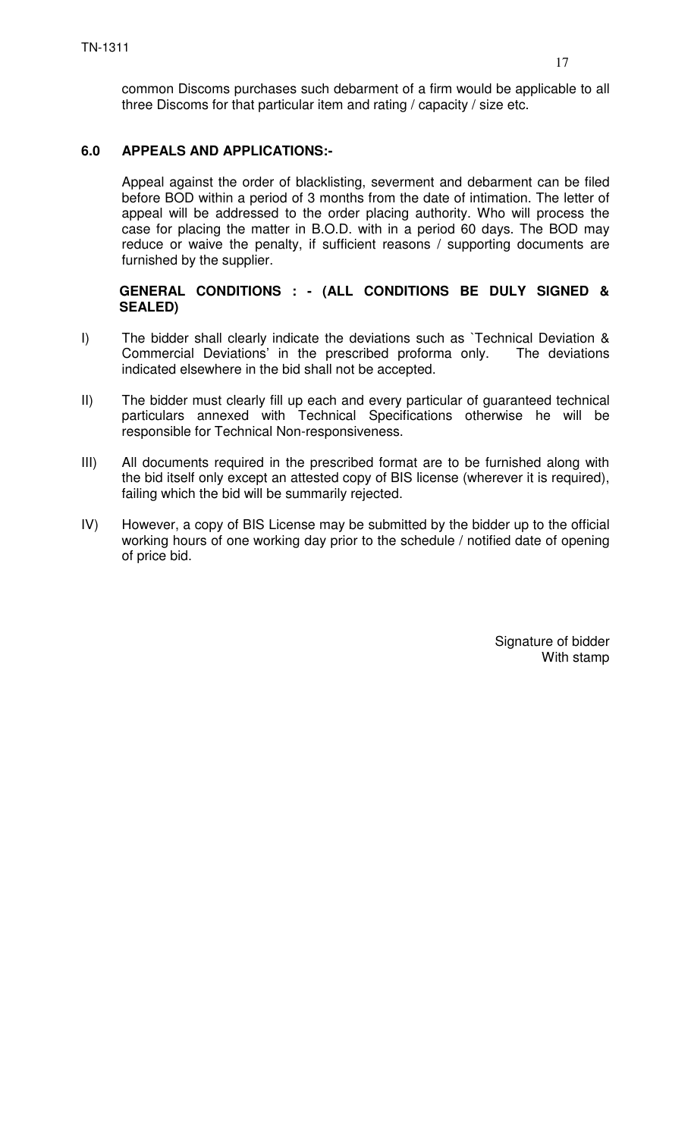## **6.0 APPEALS AND APPLICATIONS:-**

Appeal against the order of blacklisting, severment and debarment can be filed before BOD within a period of 3 months from the date of intimation. The letter of appeal will be addressed to the order placing authority. Who will process the case for placing the matter in B.O.D. with in a period 60 days. The BOD may reduce or waive the penalty, if sufficient reasons / supporting documents are furnished by the supplier.

#### **GENERAL CONDITIONS : - (ALL CONDITIONS BE DULY SIGNED & SEALED)**

- I) The bidder shall clearly indicate the deviations such as `Technical Deviation & Commercial Deviations' in the prescribed proforma only. The deviations indicated elsewhere in the bid shall not be accepted.
- II) The bidder must clearly fill up each and every particular of guaranteed technical particulars annexed with Technical Specifications otherwise he will be responsible for Technical Non-responsiveness.
- III) All documents required in the prescribed format are to be furnished along with the bid itself only except an attested copy of BIS license (wherever it is required), failing which the bid will be summarily rejected.
- IV) However, a copy of BIS License may be submitted by the bidder up to the official working hours of one working day prior to the schedule / notified date of opening of price bid.

Signature of bidder With stamp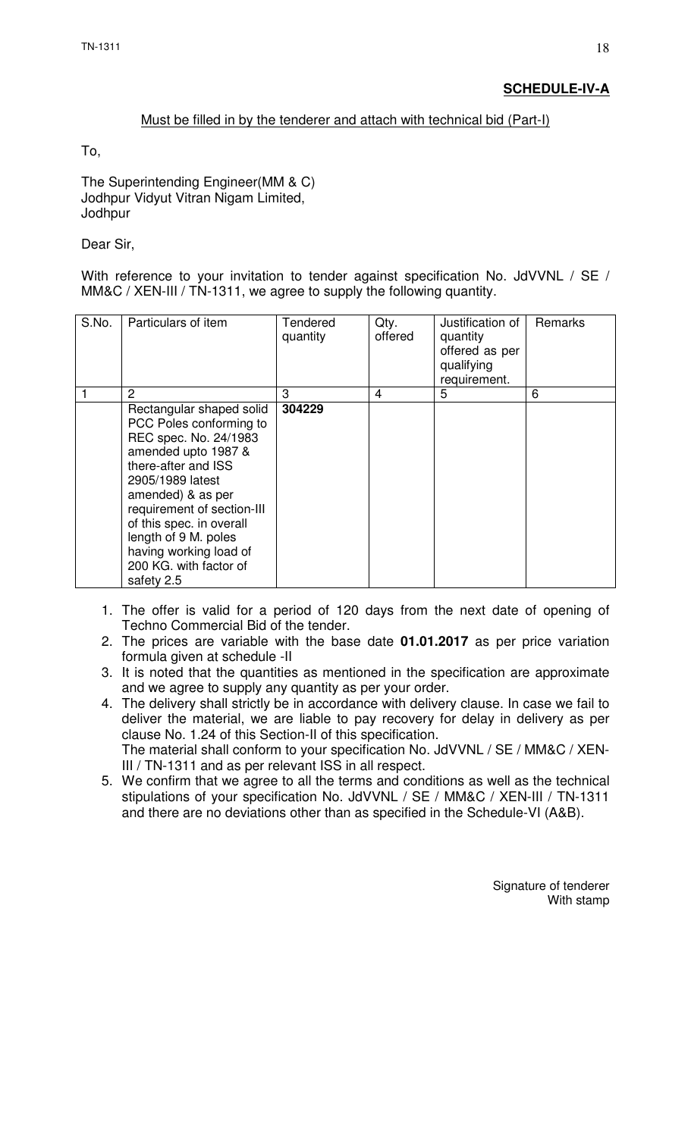## Must be filled in by the tenderer and attach with technical bid (Part-I)

To,

The Superintending Engineer(MM & C) Jodhpur Vidyut Vitran Nigam Limited, **Jodhpur** 

Dear Sir,

With reference to your invitation to tender against specification No. JdVVNL / SE / MM&C / XEN-III / TN-1311, we agree to supply the following quantity.

| S.No. | Particulars of item                                                                                                                                                                                                                                                                                                     | Tendered<br>quantity | Qty.<br>offered | Justification of<br>quantity<br>offered as per<br>qualifying<br>requirement. | Remarks |
|-------|-------------------------------------------------------------------------------------------------------------------------------------------------------------------------------------------------------------------------------------------------------------------------------------------------------------------------|----------------------|-----------------|------------------------------------------------------------------------------|---------|
|       | 2                                                                                                                                                                                                                                                                                                                       | 3                    | 4               | 5                                                                            | 6       |
|       | Rectangular shaped solid<br>PCC Poles conforming to<br>REC spec. No. 24/1983<br>amended upto 1987 &<br>there-after and ISS<br>2905/1989 latest<br>amended) & as per<br>requirement of section-III<br>of this spec. in overall<br>length of 9 M. poles<br>having working load of<br>200 KG. with factor of<br>safety 2.5 | 304229               |                 |                                                                              |         |

- 1. The offer is valid for a period of 120 days from the next date of opening of Techno Commercial Bid of the tender.
- 2. The prices are variable with the base date **01.01.2017** as per price variation formula given at schedule -II
- 3. It is noted that the quantities as mentioned in the specification are approximate and we agree to supply any quantity as per your order.
- 4. The delivery shall strictly be in accordance with delivery clause. In case we fail to deliver the material, we are liable to pay recovery for delay in delivery as per clause No. 1.24 of this Section-II of this specification. The material shall conform to your specification No. JdVVNL / SE / MM&C / XEN-III / TN-1311 and as per relevant ISS in all respect.
- 5. We confirm that we agree to all the terms and conditions as well as the technical stipulations of your specification No. JdVVNL / SE / MM&C / XEN-III / TN-1311 and there are no deviations other than as specified in the Schedule-VI (A&B).

Signature of tenderer With stamp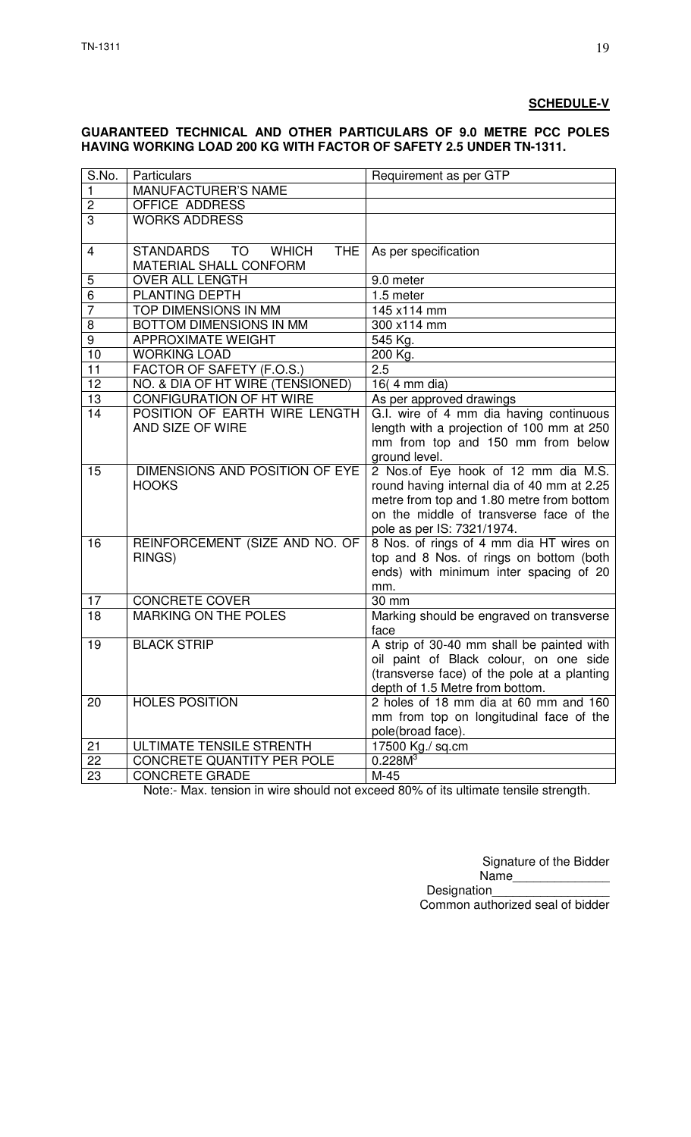#### **SCHEDULE-V**

#### **GUARANTEED TECHNICAL AND OTHER PARTICULARS OF 9.0 METRE PCC POLES HAVING WORKING LOAD 200 KG WITH FACTOR OF SAFETY 2.5 UNDER TN-1311.**

| MANUFACTURER'S NAME<br>1<br>$\overline{2}$<br><b>OFFICE ADDRESS</b><br>$\overline{3}$<br><b>WORKS ADDRESS</b><br><b>WHICH</b><br>STANDARDS TO<br><b>THE</b><br>As per specification<br>4<br>MATERIAL SHALL CONFORM<br>5<br>OVER ALL LENGTH<br>9.0 meter<br>$\overline{6}$<br>PLANTING DEPTH<br>1.5 meter<br>$\overline{7}$<br>TOP DIMENSIONS IN MM<br>145 x114 mm<br><b>BOTTOM DIMENSIONS IN MM</b><br>8<br>300 x114 mm<br>$\overline{9}$<br><b>APPROXIMATE WEIGHT</b><br>545 Kg.<br>10<br><b>WORKING LOAD</b><br>$200$ Kg.<br>11<br>2.5<br>FACTOR OF SAFETY (F.O.S.)<br>NO. & DIA OF HT WIRE (TENSIONED)<br>16(4 mm dia)<br>12<br><b>CONFIGURATION OF HT WIRE</b><br>13<br>As per approved drawings<br>POSITION OF EARTH WIRE LENGTH<br>G.I. wire of 4 mm dia having continuous<br>14<br>AND SIZE OF WIRE<br>length with a projection of 100 mm at 250<br>mm from top and 150 mm from below<br>ground level.<br>DIMENSIONS AND POSITION OF EYE<br>2 Nos.of Eye hook of 12 mm dia M.S.<br>15<br>round having internal dia of 40 mm at 2.25<br><b>HOOKS</b><br>metre from top and 1.80 metre from bottom<br>on the middle of transverse face of the<br>pole as per IS: 7321/1974.<br>REINFORCEMENT (SIZE AND NO. OF<br>8 Nos. of rings of 4 mm dia HT wires on<br>16<br>top and 8 Nos. of rings on bottom (both<br>RINGS)<br>ends) with minimum inter spacing of 20<br>mm.<br><b>CONCRETE COVER</b><br>17<br>30 mm<br><b>MARKING ON THE POLES</b><br>18<br>Marking should be engraved on transverse<br>face<br>A strip of 30-40 mm shall be painted with<br><b>BLACK STRIP</b><br>19<br>oil paint of Black colour, on one side<br>(transverse face) of the pole at a planting<br>depth of 1.5 Metre from bottom.<br><b>HOLES POSITION</b><br>2 holes of 18 mm dia at 60 mm and 160<br>20<br>mm from top on longitudinal face of the<br>pole(broad face).<br><b>ULTIMATE TENSILE STRENTH</b><br>17500 Kg./ sq.cm<br>21<br>0.228M <sup>3</sup><br>22<br>CONCRETE QUANTITY PER POLE | S.No. | Particulars | Requirement as per GTP |
|---------------------------------------------------------------------------------------------------------------------------------------------------------------------------------------------------------------------------------------------------------------------------------------------------------------------------------------------------------------------------------------------------------------------------------------------------------------------------------------------------------------------------------------------------------------------------------------------------------------------------------------------------------------------------------------------------------------------------------------------------------------------------------------------------------------------------------------------------------------------------------------------------------------------------------------------------------------------------------------------------------------------------------------------------------------------------------------------------------------------------------------------------------------------------------------------------------------------------------------------------------------------------------------------------------------------------------------------------------------------------------------------------------------------------------------------------------------------------------------------------------------------------------------------------------------------------------------------------------------------------------------------------------------------------------------------------------------------------------------------------------------------------------------------------------------------------------------------------------------------------------------------------------------------------------------------------------------------------------|-------|-------------|------------------------|
|                                                                                                                                                                                                                                                                                                                                                                                                                                                                                                                                                                                                                                                                                                                                                                                                                                                                                                                                                                                                                                                                                                                                                                                                                                                                                                                                                                                                                                                                                                                                                                                                                                                                                                                                                                                                                                                                                                                                                                                 |       |             |                        |
|                                                                                                                                                                                                                                                                                                                                                                                                                                                                                                                                                                                                                                                                                                                                                                                                                                                                                                                                                                                                                                                                                                                                                                                                                                                                                                                                                                                                                                                                                                                                                                                                                                                                                                                                                                                                                                                                                                                                                                                 |       |             |                        |
|                                                                                                                                                                                                                                                                                                                                                                                                                                                                                                                                                                                                                                                                                                                                                                                                                                                                                                                                                                                                                                                                                                                                                                                                                                                                                                                                                                                                                                                                                                                                                                                                                                                                                                                                                                                                                                                                                                                                                                                 |       |             |                        |
|                                                                                                                                                                                                                                                                                                                                                                                                                                                                                                                                                                                                                                                                                                                                                                                                                                                                                                                                                                                                                                                                                                                                                                                                                                                                                                                                                                                                                                                                                                                                                                                                                                                                                                                                                                                                                                                                                                                                                                                 |       |             |                        |
|                                                                                                                                                                                                                                                                                                                                                                                                                                                                                                                                                                                                                                                                                                                                                                                                                                                                                                                                                                                                                                                                                                                                                                                                                                                                                                                                                                                                                                                                                                                                                                                                                                                                                                                                                                                                                                                                                                                                                                                 |       |             |                        |
|                                                                                                                                                                                                                                                                                                                                                                                                                                                                                                                                                                                                                                                                                                                                                                                                                                                                                                                                                                                                                                                                                                                                                                                                                                                                                                                                                                                                                                                                                                                                                                                                                                                                                                                                                                                                                                                                                                                                                                                 |       |             |                        |
|                                                                                                                                                                                                                                                                                                                                                                                                                                                                                                                                                                                                                                                                                                                                                                                                                                                                                                                                                                                                                                                                                                                                                                                                                                                                                                                                                                                                                                                                                                                                                                                                                                                                                                                                                                                                                                                                                                                                                                                 |       |             |                        |
|                                                                                                                                                                                                                                                                                                                                                                                                                                                                                                                                                                                                                                                                                                                                                                                                                                                                                                                                                                                                                                                                                                                                                                                                                                                                                                                                                                                                                                                                                                                                                                                                                                                                                                                                                                                                                                                                                                                                                                                 |       |             |                        |
|                                                                                                                                                                                                                                                                                                                                                                                                                                                                                                                                                                                                                                                                                                                                                                                                                                                                                                                                                                                                                                                                                                                                                                                                                                                                                                                                                                                                                                                                                                                                                                                                                                                                                                                                                                                                                                                                                                                                                                                 |       |             |                        |
|                                                                                                                                                                                                                                                                                                                                                                                                                                                                                                                                                                                                                                                                                                                                                                                                                                                                                                                                                                                                                                                                                                                                                                                                                                                                                                                                                                                                                                                                                                                                                                                                                                                                                                                                                                                                                                                                                                                                                                                 |       |             |                        |
|                                                                                                                                                                                                                                                                                                                                                                                                                                                                                                                                                                                                                                                                                                                                                                                                                                                                                                                                                                                                                                                                                                                                                                                                                                                                                                                                                                                                                                                                                                                                                                                                                                                                                                                                                                                                                                                                                                                                                                                 |       |             |                        |
|                                                                                                                                                                                                                                                                                                                                                                                                                                                                                                                                                                                                                                                                                                                                                                                                                                                                                                                                                                                                                                                                                                                                                                                                                                                                                                                                                                                                                                                                                                                                                                                                                                                                                                                                                                                                                                                                                                                                                                                 |       |             |                        |
|                                                                                                                                                                                                                                                                                                                                                                                                                                                                                                                                                                                                                                                                                                                                                                                                                                                                                                                                                                                                                                                                                                                                                                                                                                                                                                                                                                                                                                                                                                                                                                                                                                                                                                                                                                                                                                                                                                                                                                                 |       |             |                        |
|                                                                                                                                                                                                                                                                                                                                                                                                                                                                                                                                                                                                                                                                                                                                                                                                                                                                                                                                                                                                                                                                                                                                                                                                                                                                                                                                                                                                                                                                                                                                                                                                                                                                                                                                                                                                                                                                                                                                                                                 |       |             |                        |
|                                                                                                                                                                                                                                                                                                                                                                                                                                                                                                                                                                                                                                                                                                                                                                                                                                                                                                                                                                                                                                                                                                                                                                                                                                                                                                                                                                                                                                                                                                                                                                                                                                                                                                                                                                                                                                                                                                                                                                                 |       |             |                        |
|                                                                                                                                                                                                                                                                                                                                                                                                                                                                                                                                                                                                                                                                                                                                                                                                                                                                                                                                                                                                                                                                                                                                                                                                                                                                                                                                                                                                                                                                                                                                                                                                                                                                                                                                                                                                                                                                                                                                                                                 |       |             |                        |
|                                                                                                                                                                                                                                                                                                                                                                                                                                                                                                                                                                                                                                                                                                                                                                                                                                                                                                                                                                                                                                                                                                                                                                                                                                                                                                                                                                                                                                                                                                                                                                                                                                                                                                                                                                                                                                                                                                                                                                                 |       |             |                        |
|                                                                                                                                                                                                                                                                                                                                                                                                                                                                                                                                                                                                                                                                                                                                                                                                                                                                                                                                                                                                                                                                                                                                                                                                                                                                                                                                                                                                                                                                                                                                                                                                                                                                                                                                                                                                                                                                                                                                                                                 |       |             |                        |
|                                                                                                                                                                                                                                                                                                                                                                                                                                                                                                                                                                                                                                                                                                                                                                                                                                                                                                                                                                                                                                                                                                                                                                                                                                                                                                                                                                                                                                                                                                                                                                                                                                                                                                                                                                                                                                                                                                                                                                                 |       |             |                        |
|                                                                                                                                                                                                                                                                                                                                                                                                                                                                                                                                                                                                                                                                                                                                                                                                                                                                                                                                                                                                                                                                                                                                                                                                                                                                                                                                                                                                                                                                                                                                                                                                                                                                                                                                                                                                                                                                                                                                                                                 |       |             |                        |
|                                                                                                                                                                                                                                                                                                                                                                                                                                                                                                                                                                                                                                                                                                                                                                                                                                                                                                                                                                                                                                                                                                                                                                                                                                                                                                                                                                                                                                                                                                                                                                                                                                                                                                                                                                                                                                                                                                                                                                                 |       |             |                        |
|                                                                                                                                                                                                                                                                                                                                                                                                                                                                                                                                                                                                                                                                                                                                                                                                                                                                                                                                                                                                                                                                                                                                                                                                                                                                                                                                                                                                                                                                                                                                                                                                                                                                                                                                                                                                                                                                                                                                                                                 |       |             |                        |
|                                                                                                                                                                                                                                                                                                                                                                                                                                                                                                                                                                                                                                                                                                                                                                                                                                                                                                                                                                                                                                                                                                                                                                                                                                                                                                                                                                                                                                                                                                                                                                                                                                                                                                                                                                                                                                                                                                                                                                                 |       |             |                        |
|                                                                                                                                                                                                                                                                                                                                                                                                                                                                                                                                                                                                                                                                                                                                                                                                                                                                                                                                                                                                                                                                                                                                                                                                                                                                                                                                                                                                                                                                                                                                                                                                                                                                                                                                                                                                                                                                                                                                                                                 |       |             |                        |
|                                                                                                                                                                                                                                                                                                                                                                                                                                                                                                                                                                                                                                                                                                                                                                                                                                                                                                                                                                                                                                                                                                                                                                                                                                                                                                                                                                                                                                                                                                                                                                                                                                                                                                                                                                                                                                                                                                                                                                                 |       |             |                        |
|                                                                                                                                                                                                                                                                                                                                                                                                                                                                                                                                                                                                                                                                                                                                                                                                                                                                                                                                                                                                                                                                                                                                                                                                                                                                                                                                                                                                                                                                                                                                                                                                                                                                                                                                                                                                                                                                                                                                                                                 |       |             |                        |
|                                                                                                                                                                                                                                                                                                                                                                                                                                                                                                                                                                                                                                                                                                                                                                                                                                                                                                                                                                                                                                                                                                                                                                                                                                                                                                                                                                                                                                                                                                                                                                                                                                                                                                                                                                                                                                                                                                                                                                                 |       |             |                        |
|                                                                                                                                                                                                                                                                                                                                                                                                                                                                                                                                                                                                                                                                                                                                                                                                                                                                                                                                                                                                                                                                                                                                                                                                                                                                                                                                                                                                                                                                                                                                                                                                                                                                                                                                                                                                                                                                                                                                                                                 |       |             |                        |
|                                                                                                                                                                                                                                                                                                                                                                                                                                                                                                                                                                                                                                                                                                                                                                                                                                                                                                                                                                                                                                                                                                                                                                                                                                                                                                                                                                                                                                                                                                                                                                                                                                                                                                                                                                                                                                                                                                                                                                                 |       |             |                        |
|                                                                                                                                                                                                                                                                                                                                                                                                                                                                                                                                                                                                                                                                                                                                                                                                                                                                                                                                                                                                                                                                                                                                                                                                                                                                                                                                                                                                                                                                                                                                                                                                                                                                                                                                                                                                                                                                                                                                                                                 |       |             |                        |
|                                                                                                                                                                                                                                                                                                                                                                                                                                                                                                                                                                                                                                                                                                                                                                                                                                                                                                                                                                                                                                                                                                                                                                                                                                                                                                                                                                                                                                                                                                                                                                                                                                                                                                                                                                                                                                                                                                                                                                                 |       |             |                        |
|                                                                                                                                                                                                                                                                                                                                                                                                                                                                                                                                                                                                                                                                                                                                                                                                                                                                                                                                                                                                                                                                                                                                                                                                                                                                                                                                                                                                                                                                                                                                                                                                                                                                                                                                                                                                                                                                                                                                                                                 |       |             |                        |
|                                                                                                                                                                                                                                                                                                                                                                                                                                                                                                                                                                                                                                                                                                                                                                                                                                                                                                                                                                                                                                                                                                                                                                                                                                                                                                                                                                                                                                                                                                                                                                                                                                                                                                                                                                                                                                                                                                                                                                                 |       |             |                        |
|                                                                                                                                                                                                                                                                                                                                                                                                                                                                                                                                                                                                                                                                                                                                                                                                                                                                                                                                                                                                                                                                                                                                                                                                                                                                                                                                                                                                                                                                                                                                                                                                                                                                                                                                                                                                                                                                                                                                                                                 |       |             |                        |
|                                                                                                                                                                                                                                                                                                                                                                                                                                                                                                                                                                                                                                                                                                                                                                                                                                                                                                                                                                                                                                                                                                                                                                                                                                                                                                                                                                                                                                                                                                                                                                                                                                                                                                                                                                                                                                                                                                                                                                                 |       |             |                        |
|                                                                                                                                                                                                                                                                                                                                                                                                                                                                                                                                                                                                                                                                                                                                                                                                                                                                                                                                                                                                                                                                                                                                                                                                                                                                                                                                                                                                                                                                                                                                                                                                                                                                                                                                                                                                                                                                                                                                                                                 |       |             |                        |
|                                                                                                                                                                                                                                                                                                                                                                                                                                                                                                                                                                                                                                                                                                                                                                                                                                                                                                                                                                                                                                                                                                                                                                                                                                                                                                                                                                                                                                                                                                                                                                                                                                                                                                                                                                                                                                                                                                                                                                                 |       |             |                        |
|                                                                                                                                                                                                                                                                                                                                                                                                                                                                                                                                                                                                                                                                                                                                                                                                                                                                                                                                                                                                                                                                                                                                                                                                                                                                                                                                                                                                                                                                                                                                                                                                                                                                                                                                                                                                                                                                                                                                                                                 |       |             |                        |
|                                                                                                                                                                                                                                                                                                                                                                                                                                                                                                                                                                                                                                                                                                                                                                                                                                                                                                                                                                                                                                                                                                                                                                                                                                                                                                                                                                                                                                                                                                                                                                                                                                                                                                                                                                                                                                                                                                                                                                                 |       |             |                        |
| 23<br><b>CONCRETE GRADE</b><br>M-45                                                                                                                                                                                                                                                                                                                                                                                                                                                                                                                                                                                                                                                                                                                                                                                                                                                                                                                                                                                                                                                                                                                                                                                                                                                                                                                                                                                                                                                                                                                                                                                                                                                                                                                                                                                                                                                                                                                                             |       |             |                        |

Note:- Max. tension in wire should not exceed 80% of its ultimate tensile strength.

Signature of the Bidder

Name Designation Common authorized seal of bidder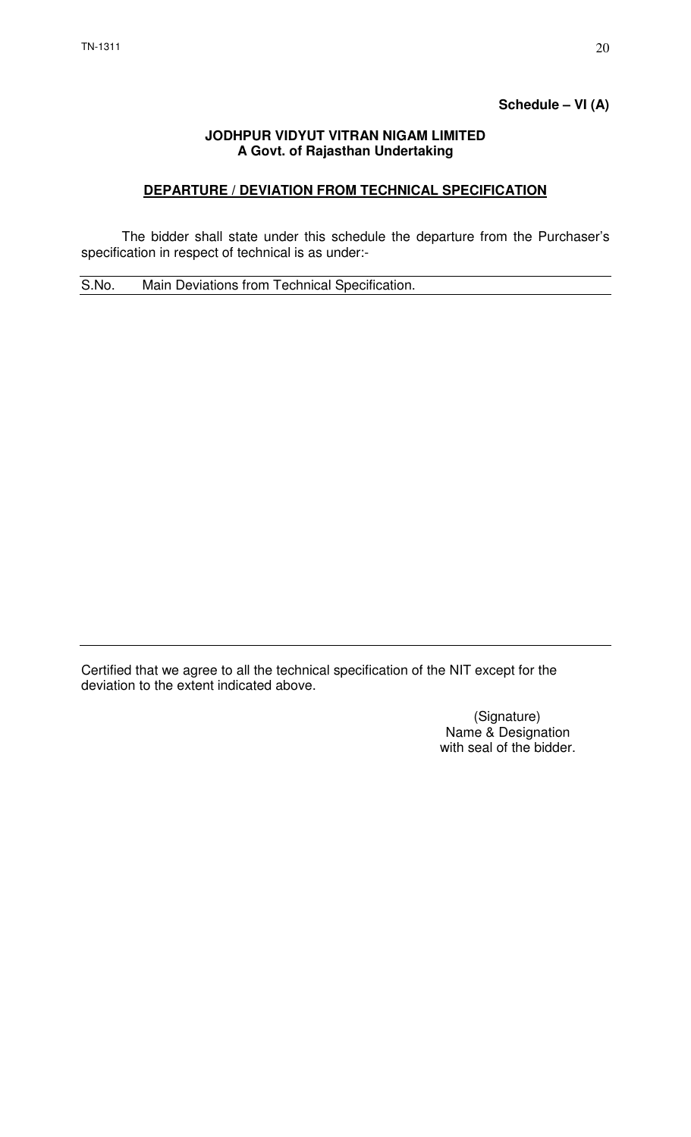# **Schedule – VI (A)**

#### **JODHPUR VIDYUT VITRAN NIGAM LIMITED A Govt. of Rajasthan Undertaking**

## **DEPARTURE / DEVIATION FROM TECHNICAL SPECIFICATION**

 The bidder shall state under this schedule the departure from the Purchaser's specification in respect of technical is as under:-

S.No. Main Deviations from Technical Specification.

Certified that we agree to all the technical specification of the NIT except for the deviation to the extent indicated above.

> (Signature) Name & Designation with seal of the bidder.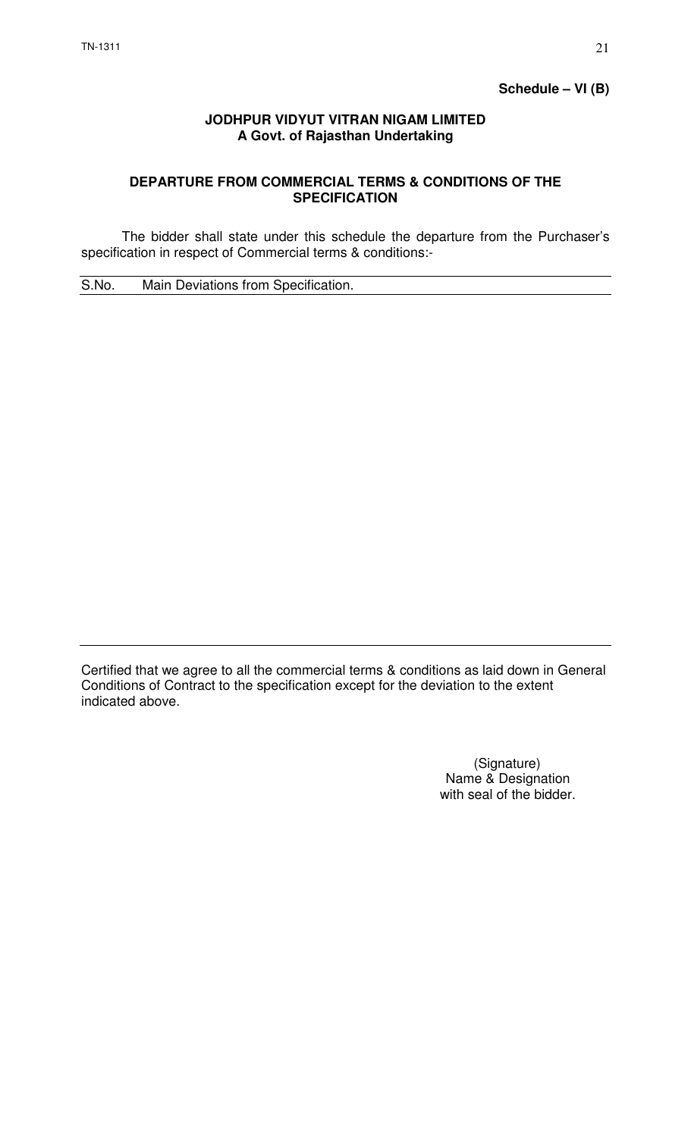## **JODHPUR VIDYUT VITRAN NIGAM LIMITED A Govt. of Rajasthan Undertaking**

## **DEPARTURE FROM COMMERCIAL TERMS & CONDITIONS OF THE SPECIFICATION**

 The bidder shall state under this schedule the departure from the Purchaser's specification in respect of Commercial terms & conditions:-

S.No. Main Deviations from Specification.

Certified that we agree to all the commercial terms & conditions as laid down in General Conditions of Contract to the specification except for the deviation to the extent indicated above.

> (Signature) Name & Designation with seal of the bidder.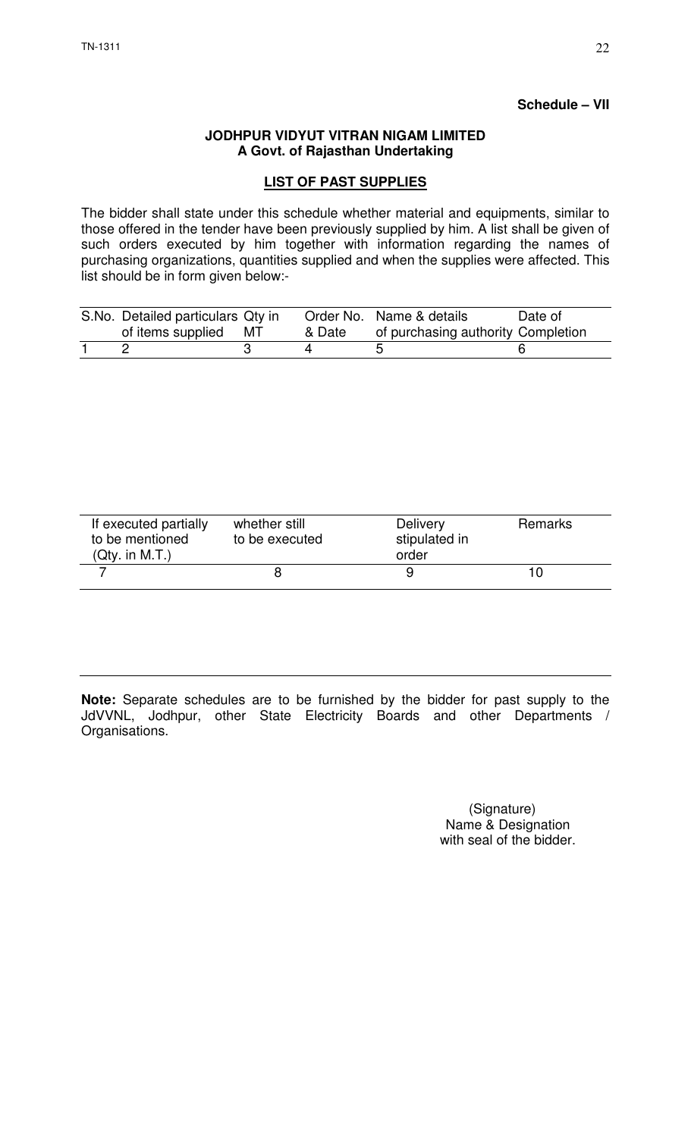#### **Schedule – VII**

#### **JODHPUR VIDYUT VITRAN NIGAM LIMITED A Govt. of Rajasthan Undertaking**

## **LIST OF PAST SUPPLIES**

The bidder shall state under this schedule whether material and equipments, similar to those offered in the tender have been previously supplied by him. A list shall be given of such orders executed by him together with information regarding the names of purchasing organizations, quantities supplied and when the supplies were affected. This list should be in form given below:-

| S.No. Detailed particulars Qty in<br>of items supplied MT | & Date | Order No. Name & details<br>of purchasing authority Completion | Date of |
|-----------------------------------------------------------|--------|----------------------------------------------------------------|---------|
|                                                           |        |                                                                |         |

| If executed partially<br>to be mentioned<br>(Qty. in M.T.) | whether still<br>to be executed | <b>Delivery</b><br>stipulated in<br>order | Remarks |
|------------------------------------------------------------|---------------------------------|-------------------------------------------|---------|
|                                                            |                                 |                                           |         |

**Note:** Separate schedules are to be furnished by the bidder for past supply to the JdVVNL, Jodhpur, other State Electricity Boards and other Departments / Organisations.

> (Signature) Name & Designation with seal of the bidder.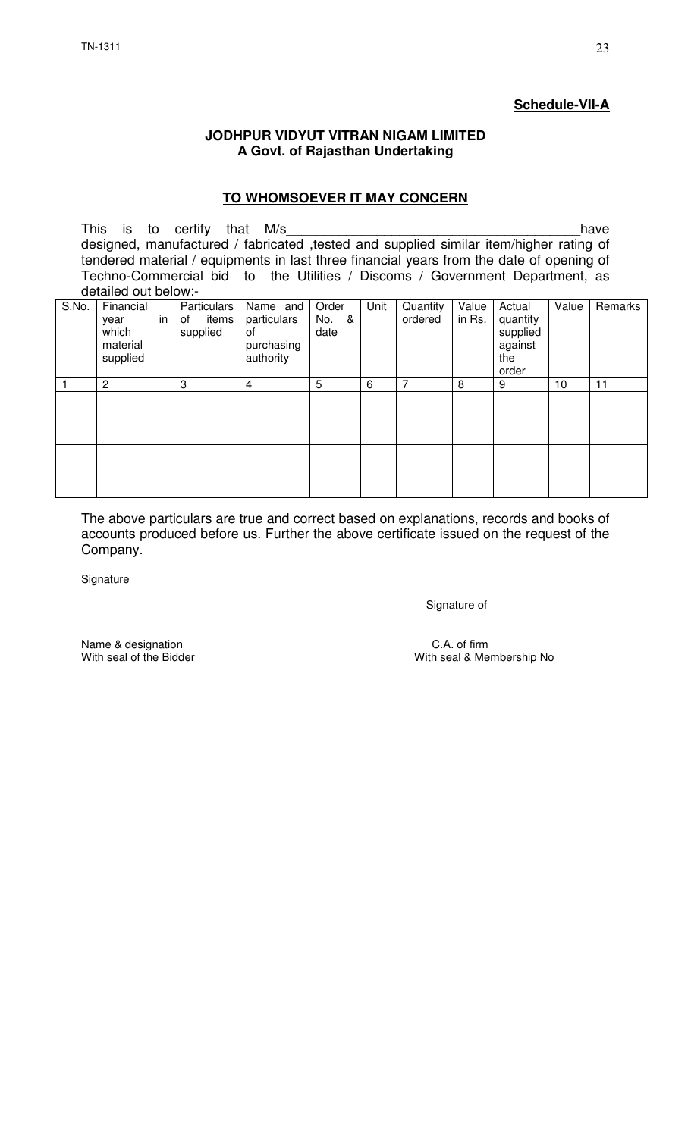# **Schedule-VII-A**

#### **JODHPUR VIDYUT VITRAN NIGAM LIMITED A Govt. of Rajasthan Undertaking**

#### **TO WHOMSOEVER IT MAY CONCERN**

This is to certify that M/s\_\_\_\_\_\_\_\_\_\_\_\_\_\_\_\_\_\_\_\_\_\_\_\_\_\_\_\_\_\_\_\_\_\_\_\_\_\_\_have designed, manufactured / fabricated ,tested and supplied similar item/higher rating of tendered material / equipments in last three financial years from the date of opening of Techno-Commercial bid to the Utilities / Discoms / Government Department, as detailed out below:-

| S.No. | Financial<br>year<br>which<br>material<br>supplied | in | Particulars<br>items<br>of<br>supplied | Name and<br>particulars<br>0f<br>purchasing<br>authority | Order<br>No.<br>&<br>date | Unit | Quantity<br>ordered | Value<br>in Rs. | Actual<br>quantity<br>supplied<br>against<br>the<br>order | Value | Remarks |
|-------|----------------------------------------------------|----|----------------------------------------|----------------------------------------------------------|---------------------------|------|---------------------|-----------------|-----------------------------------------------------------|-------|---------|
|       | $\overline{2}$                                     |    | 3                                      | $\overline{4}$                                           | 5                         | 6    | 7                   | 8               | 9                                                         | 10    | 11      |
|       |                                                    |    |                                        |                                                          |                           |      |                     |                 |                                                           |       |         |
|       |                                                    |    |                                        |                                                          |                           |      |                     |                 |                                                           |       |         |
|       |                                                    |    |                                        |                                                          |                           |      |                     |                 |                                                           |       |         |
|       |                                                    |    |                                        |                                                          |                           |      |                     |                 |                                                           |       |         |

The above particulars are true and correct based on explanations, records and books of accounts produced before us. Further the above certificate issued on the request of the Company.

**Signature** 

Signature of

Name & designation C.A. of firm<br>
With seal of the Bidder C.A. of firm<br>
With seal & Me

With seal & Membership No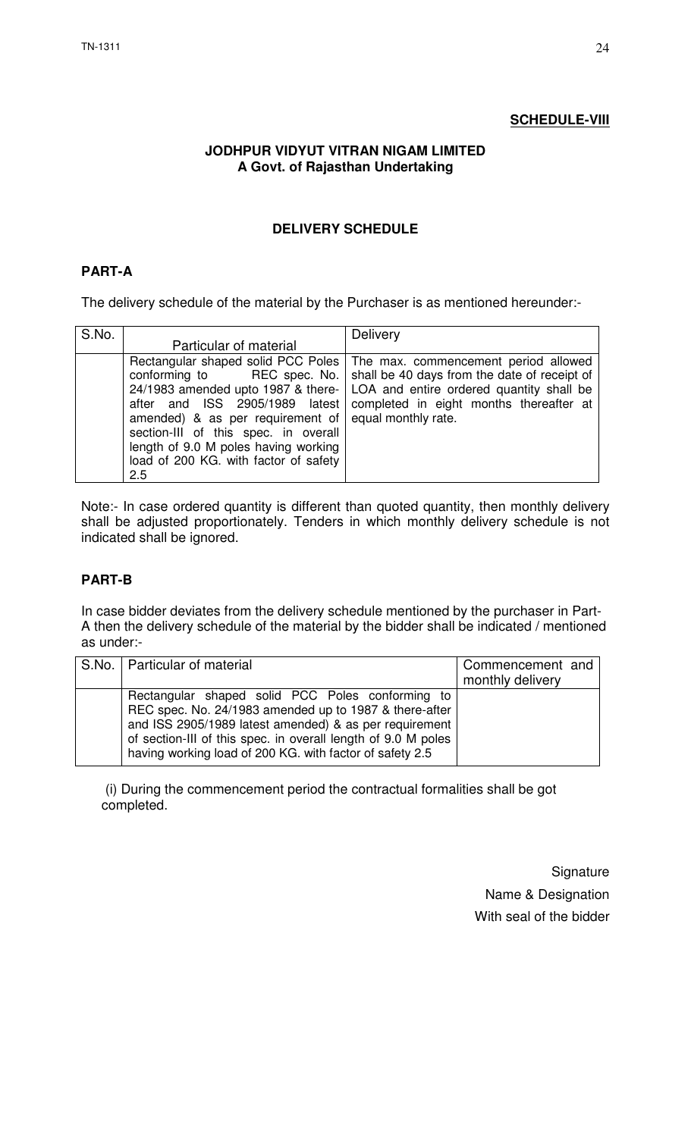## **SCHEDULE-VIII**

## **JODHPUR VIDYUT VITRAN NIGAM LIMITED A Govt. of Rajasthan Undertaking**

## **DELIVERY SCHEDULE**

## **PART-A**

The delivery schedule of the material by the Purchaser is as mentioned hereunder:-

| S.No. |                                                                                                                                                                                                           | Delivery                                                                                                                                                                                                                                                                                             |
|-------|-----------------------------------------------------------------------------------------------------------------------------------------------------------------------------------------------------------|------------------------------------------------------------------------------------------------------------------------------------------------------------------------------------------------------------------------------------------------------------------------------------------------------|
|       | Particular of material                                                                                                                                                                                    |                                                                                                                                                                                                                                                                                                      |
|       | conforming to<br>amended) & as per requirement of $ $ equal monthly rate.<br>section-III of this spec. in overall<br>length of 9.0 M poles having working<br>load of 200 KG. with factor of safety<br>2.5 | Rectangular shaped solid PCC Poles   The max. commencement period allowed<br>REC spec. No.   shall be 40 days from the date of receipt of<br>24/1983 amended upto 1987 & there-   LOA and entire ordered quantity shall be<br>after and ISS 2905/1989 latest completed in eight months thereafter at |

Note:- In case ordered quantity is different than quoted quantity, then monthly delivery shall be adjusted proportionately. Tenders in which monthly delivery schedule is not indicated shall be ignored.

# **PART-B**

In case bidder deviates from the delivery schedule mentioned by the purchaser in Part-A then the delivery schedule of the material by the bidder shall be indicated / mentioned as under:-

| S.No.   Particular of material                                                                                                                                                                                                                                                                    | Commencement and |
|---------------------------------------------------------------------------------------------------------------------------------------------------------------------------------------------------------------------------------------------------------------------------------------------------|------------------|
|                                                                                                                                                                                                                                                                                                   | monthly delivery |
| Rectangular shaped solid PCC Poles conforming to<br>REC spec. No. 24/1983 amended up to 1987 & there-after<br>and ISS 2905/1989 latest amended) & as per requirement<br>of section-III of this spec. in overall length of 9.0 M poles<br>having working load of 200 KG. with factor of safety 2.5 |                  |

 (i) During the commencement period the contractual formalities shall be got completed.

> **Signature** Name & Designation With seal of the bidder